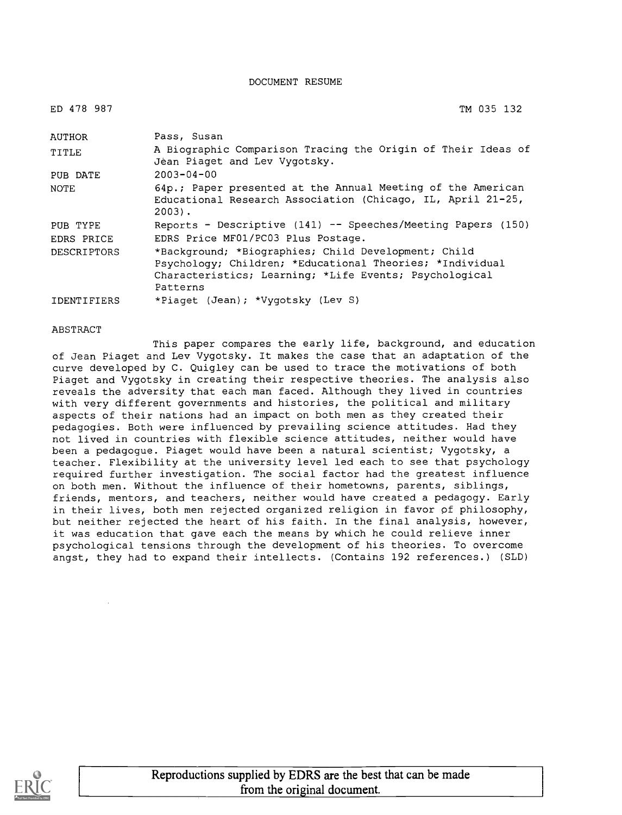DOCUMENT RESUME

| ED 478 987         | TM 035 132                                                                                                                                                                            |
|--------------------|---------------------------------------------------------------------------------------------------------------------------------------------------------------------------------------|
| AUTHOR             | Pass, Susan                                                                                                                                                                           |
| TITLE              | A Biographic Comparison Tracing the Origin of Their Ideas of<br>Jean Piaget and Lev Vygotsky.                                                                                         |
| PUB DATE           | $2003 - 04 - 00$                                                                                                                                                                      |
| NOTE               | 64p.; Paper presented at the Annual Meeting of the American<br>Educational Research Association (Chicago, IL, April 21-25,<br>$2003$ .                                                |
| PUB TYPE           | Reports - Descriptive (141) -- Speeches/Meeting Papers (150)                                                                                                                          |
| EDRS PRICE         | EDRS Price MF01/PC03 Plus Postage.                                                                                                                                                    |
| DESCRIPTORS        | *Background; *Biographies; Child Development; Child<br>Psychology; Children; *Educational Theories; *Individual<br>Characteristics; Learning; *Life Events; Psychological<br>Patterns |
| <b>IDENTIFIERS</b> | *Piaget (Jean); *Vygotsky (Lev S)                                                                                                                                                     |

**ABSTRACT** 

This paper compares the early life, background, and education of Jean Piaget and Lev Vygotsky. It makes the case that an adaptation of the curve developed by C. Quigley can be used to trace the motivations of both Piaget and Vygotsky in creating their respective theories. The analysis also reveals the adversity that each man faced. Although they lived in countries with very different governments and histories, the political and military aspects of their nations had an impact on both men as they created their pedagogies. Both were influenced by prevailing science attitudes. Had they not lived in countries with flexible science attitudes, neither would have been a pedagogue. Piaget would have been a natural scientist; Vygotsky, a teacher. Flexibility at the university level led each to see that psychology required further investigation. The social factor had the greatest influence on both men. Without the influence of their hometowns, parents, siblings, friends, mentors, and teachers, neither would have created a pedagogy. Early in their lives, both men rejected organized religion in favor pf philosophy, but neither rejected the heart of his faith. In the final analysis, however, it was education that gave each the means by which he could relieve inner psychological tensions through the development of his theories. To overcome angst, they had to expand their intellects. (Contains 192 references.) (SLD)



Reproductions supplied by EDRS are the best that can be made from the original document.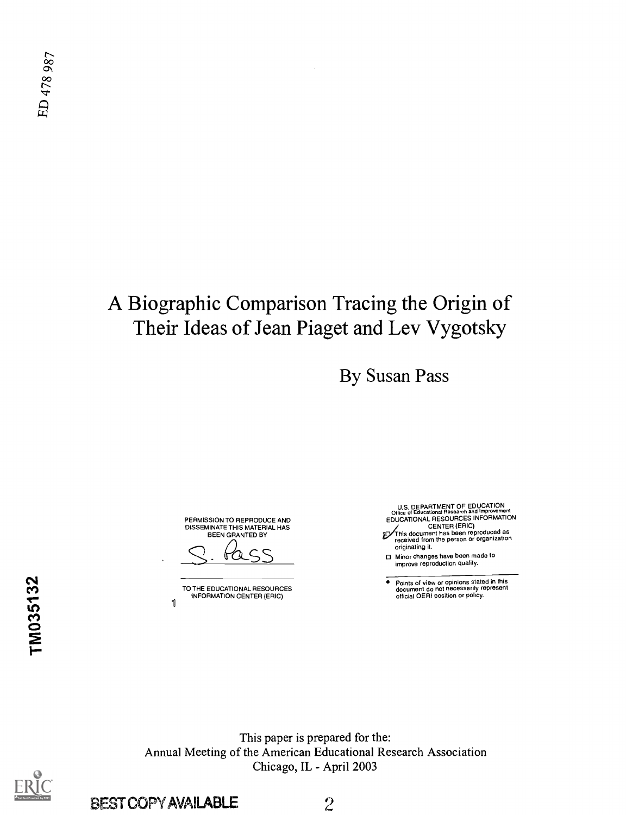# A Biographic Comparison Tracing the Origin of Their Ideas of Jean Piaget and Lev Vygotsky

By Susan Pass

PERMISSION TO REPRODUCE AND DISSEMINATE THIS MATERIAL HAS BEEN GRANTED BY

S <u>Pass</u>

TO THE EDUCATIONAL RESOURCES INFORMATION CENTER (ERIC)  $\mathbf{1}$ 

U.S. DEPARTMENT OF EDUCATION<br>
EDUCATIONAL RESOURCES INFORMATION<br>
CENTER (ERIC)<br>
This document has been reproduced as<br>
received from the person or organization<br>
originating it.

Minor changes have been made to improve reproduction quality.

Points of view or opinions stated in this document do not necessarily represent official OERI position or policy.

This paper is prepared for the: Annual Meeting of the American Educational Research Association Chicago, IL - April 2003



BEST COPY AVAILABLE 2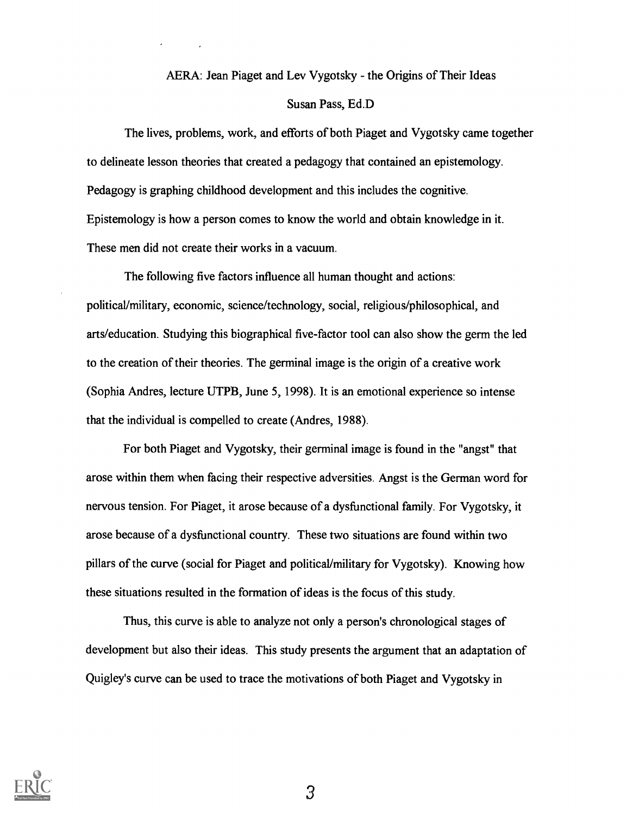#### AERA: Jean Piaget and Lev Vygotsky - the Origins of Their Ideas

#### Susan Pass, Ed.D

The lives, problems, work, and efforts of both Piaget and Vygotsky came together to delineate lesson theories that created a pedagogy that contained an epistemology. Pedagogy is graphing childhood development and this includes the cognitive. Epistemology is how a person comes to know the world and obtain knowledge in it. These men did not create their works in a vacuum.

The following five factors influence all human thought and actions: political/military, economic, science/technology, social, religious/philosophical, and arts/education. Studying this biographical five-factor tool can also show the germ the led to the creation of their theories. The germinal image is the origin of a creative work (Sophia Andres, lecture UTPB, June 5, 1998). It is an emotional experience so intense that the individual is compelled to create (Andres, 1988).

For both Piaget and Vygotsky, their germinal image is found in the "angst" that arose within them when facing their respective adversities. Angst is the German word for nervous tension. For Piaget, it arose because of a dysfunctional family. For Vygotsky, it arose because of a dysfunctional country. These two situations are found within two pillars of the curve (social for Piaget and political/military for Vygotsky). Knowing how these situations resulted in the formation of ideas is the focus of this study.

Thus, this curve is able to analyze not only a person's chronological stages of development but also their ideas. This study presents the argument that an adaptation of Quigley's curve can be used to trace the motivations of both Piaget and Vygotsky in

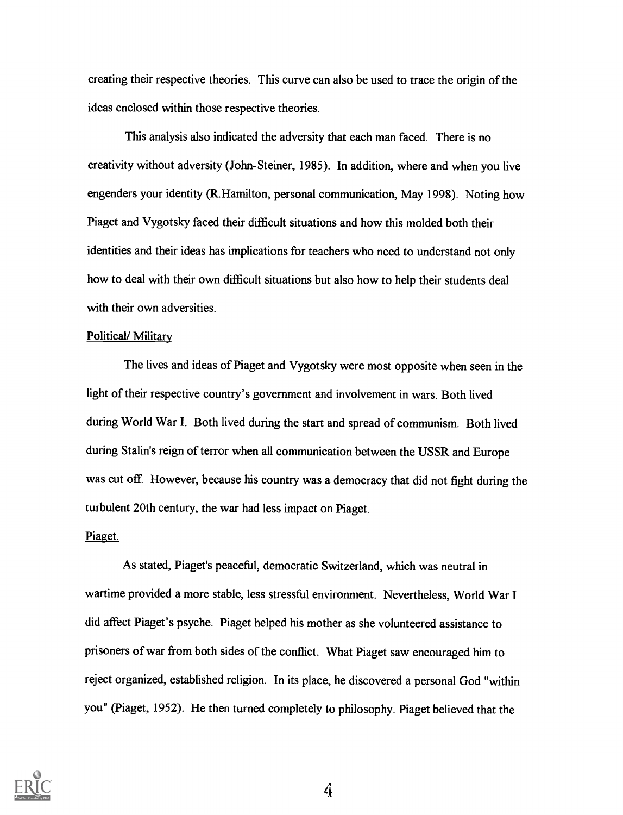creating their respective theories. This curve can also be used to trace the origin of the ideas enclosed within those respective theories.

This analysis also indicated the adversity that each man faced. There is no creativity without adversity (John-Steiner, 1985). In addition, where and when you live engenders your identity (R.Hamilton, personal communication, May 1998). Noting how Piaget and Vygotsky faced their difficult situations and how this molded both their identities and their ideas has implications for teachers who need to understand not only how to deal with their own difficult situations but also how to help their students deal with their own adversities.

#### Political/ Military

The lives and ideas of Piaget and Vygotsky were most opposite when seen in the light of their respective country's government and involvement in wars. Both lived during World War I. Both lived during the start and spread of communism. Both lived during Stalin's reign of terror when all communication between the USSR and Europe was cut off. However, because his country was a democracy that did not fight during the turbulent 20th century, the war had less impact on Piaget.

#### Piaget.

As stated, Piaget's peaceful, democratic Switzerland, which was neutral in wartime provided a more stable, less stressful environment. Nevertheless, World War I did affect Piaget's psyche. Piaget helped his mother as she volunteered assistance to prisoners of war from both sides of the conflict. What Piaget saw encouraged him to reject organized, established religion. In its place, he discovered a personal God "within you" (Piaget, 1952). He then turned completely to philosophy. Piaget believed that the

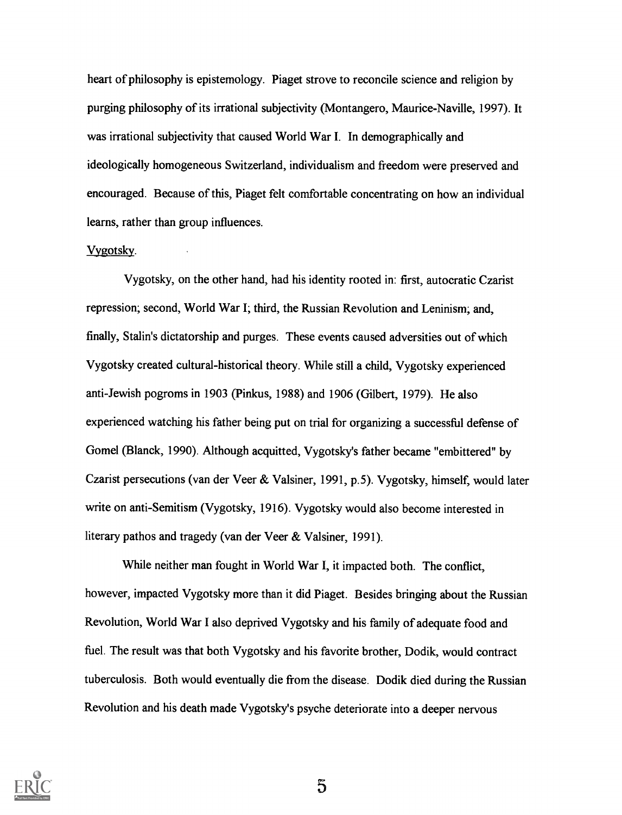heart of philosophy is epistemology. Piaget strove to reconcile science and religion by purging philosophy of its irrational subjectivity (Montangero, Maurice-Naville, 1997). It was irrational subjectivity that caused World War I. In demographically and ideologically homogeneous Switzerland, individualism and freedom were preserved and encouraged. Because of this, Piaget felt comfortable concentrating on how an individual learns, rather than group influences.

#### Vvgotsky.

Vygotsky, on the other hand, had his identity rooted in: first, autocratic Czarist repression; second, World War I; third, the Russian Revolution and Leninism; and, finally, Stalin's dictatorship and purges. These events caused adversities out of which Vygotsky created cultural-historical theory. While still a child, Vygotsky experienced anti-Jewish pogroms in 1903 (Pinkus, 1988) and 1906 (Gilbert, 1979). He also experienced watching his father being put on trial for organizing a successful defense of Gomel (Blanck, 1990). Although acquitted, Vygotsky's father became "embittered" by Czarist persecutions (van der Veer & Valsiner, 1991, p.5). Vygotsky, himself, would later write on anti-Semitism (Vygotsky, 1916). Vygotsky would also become interested in literary pathos and tragedy (van der Veer & Valsiner, 1991).

While neither man fought in World War I, it impacted both. The conflict, however, impacted Vygotsky more than it did Piaget. Besides bringing about the Russian Revolution, World War I also deprived Vygotsky and his family of adequate food and fuel. The result was that both Vygotsky and his favorite brother, Dodik, would contract tuberculosis. Both would eventually die from the disease. Dodik died during the Russian Revolution and his death made Vygotsky's psyche deteriorate into a deeper nervous

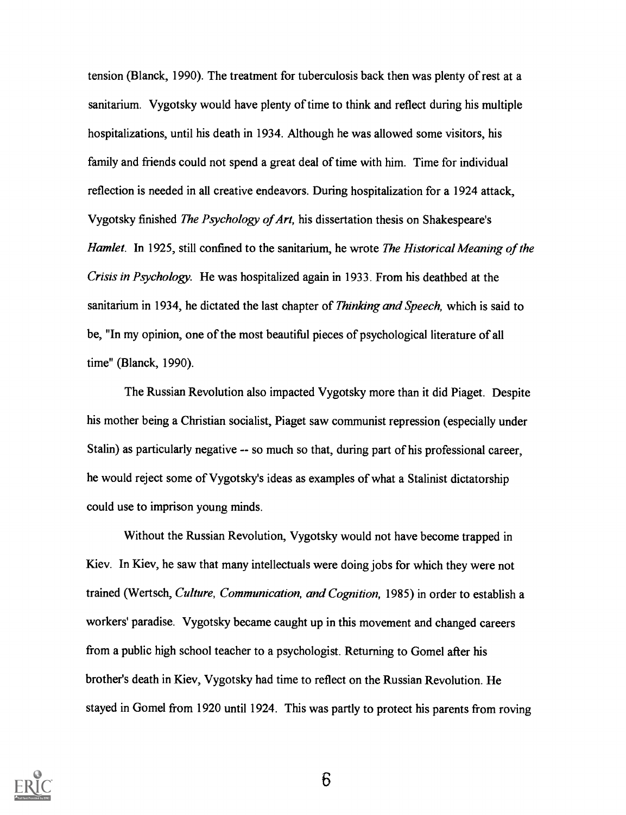tension (Blanck, 1990). The treatment for tuberculosis back then was plenty of rest at a sanitarium. Vygotsky would have plenty of time to think and reflect during his multiple hospitalizations, until his death in 1934. Although he was allowed some visitors, his family and friends could not spend a great deal of time with him. Time for individual reflection is needed in all creative endeavors. During hospitalization for a 1924 attack, Vygotsky finished The Psychology of Art, his dissertation thesis on Shakespeare's Hamlet. In 1925, still confined to the sanitarium, he wrote The Historical Meaning of the Crisis in Psychology. He was hospitalized again in 1933. From his deathbed at the sanitarium in 1934, he dictated the last chapter of *Thinking and Speech*, which is said to be, "In my opinion, one of the most beautiful pieces of psychological literature of all time" (Blanck, 1990).

The Russian Revolution also impacted Vygotsky more than it did Piaget. Despite his mother being a Christian socialist, Piaget saw communist repression (especially under Stalin) as particularly negative -- so much so that, during part of his professional career, he would reject some of Vygotsky's ideas as examples of what a Stalinist dictatorship could use to imprison young minds.

Without the Russian Revolution, Vygotsky would not have become trapped in Kiev. In Kiev, he saw that many intellectuals were doing jobs for which they were not trained (Wertsch, Culture, Communication, and Cognition, 1985) in order to establish a workers' paradise. Vygotsky became caught up in this movement and changed careers from a public high school teacher to a psychologist. Returning to Gomel after his brother's death in Kiev, Vygotsky had time to reflect on the Russian Revolution. He stayed in Gomel from 1920 until 1924. This was partly to protect his parents from roving

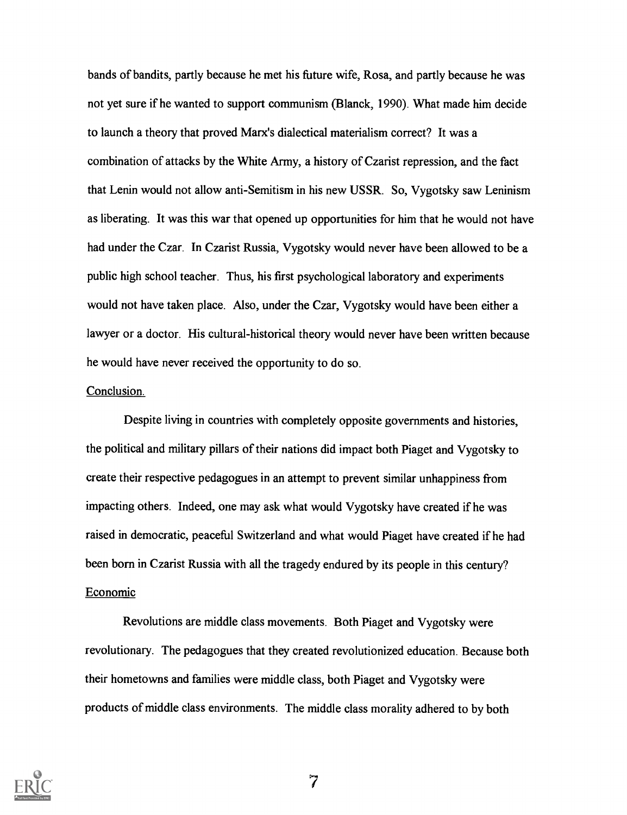bands of bandits, partly because he met his future wife, Rosa, and partly because he was not yet sure if he wanted to support communism (Blanck, 1990). What made him decide to launch a theory that proved Marx's dialectical materialism correct? It was a combination of attacks by the White Army, a history of Czarist repression, and the fact that Lenin would not allow anti-Semitism in his new USSR. So, Vygotsky saw Leninism as liberating. It was this war that opened up opportunities for him that he would not have had under the Czar. In Czarist Russia, Vygotsky would never have been allowed to be a public high school teacher. Thus, his first psychological laboratory and experiments would not have taken place. Also, under the Czar, Vygotsky would have been either a lawyer or a doctor. His cultural-historical theory would never have been written because he would have never received the opportunity to do so.

#### Conclusion.

Despite living in countries with completely opposite governments and histories, the political and military pillars of their nations did impact both Piaget and Vygotsky to create their respective pedagogues in an attempt to prevent similar unhappiness from impacting others. Indeed, one may ask what would Vygotsky have created if he was raised in democratic, peaceful Switzerland and what would Piaget have created if he had been born in Czarist Russia with all the tragedy endured by its people in this century? Economic

Revolutions are middle class movements. Both Piaget and Vygotsky were revolutionary. The pedagogues that they created revolutionized education. Because both their hometowns and families were middle class, both Piaget and Vygotsky were products of middle class environments. The middle class morality adhered to by both

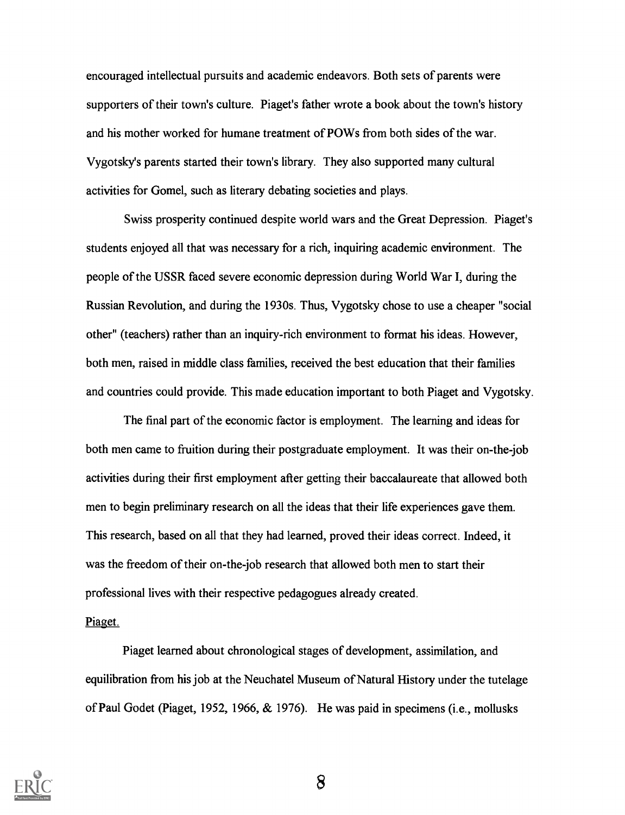encouraged intellectual pursuits and academic endeavors. Both sets of parents were supporters of their town's culture. Piaget's father wrote a book about the town's history and his mother worked for humane treatment of POWs from both sides of the war. Vygotsky's parents started their town's library. They also supported many cultural activities for Gomel, such as literary debating societies and plays.

Swiss prosperity continued despite world wars and the Great Depression. Piaget's students enjoyed all that was necessary for a rich, inquiring academic environment. The people of the USSR faced severe economic depression during World War I, during the Russian Revolution, and during the 1930s. Thus, Vygotsky chose to use a cheaper "social other" (teachers) rather than an inquiry-rich environment to format his ideas. However, both men, raised in middle class families, received the best education that their families and countries could provide. This made education important to both Piaget and Vygotsky.

The final part of the economic factor is employment. The learning and ideas for both men came to fruition during their postgraduate employment. It was their on-the-job activities during their first employment after getting their baccalaureate that allowed both men to begin preliminary research on all the ideas that their life experiences gave them. This research, based on all that they had learned, proved their ideas correct. Indeed, it was the freedom of their on-the-job research that allowed both men to start their professional lives with their respective pedagogues already created.

Piaget.

Piaget learned about chronological stages of development, assimilation, and equilibration from his job at the Neuchatel Museum of Natural History under the tutelage of Paul Godet (Piaget, 1952, 1966, & 1976). He was paid in specimens (i.e., mollusks

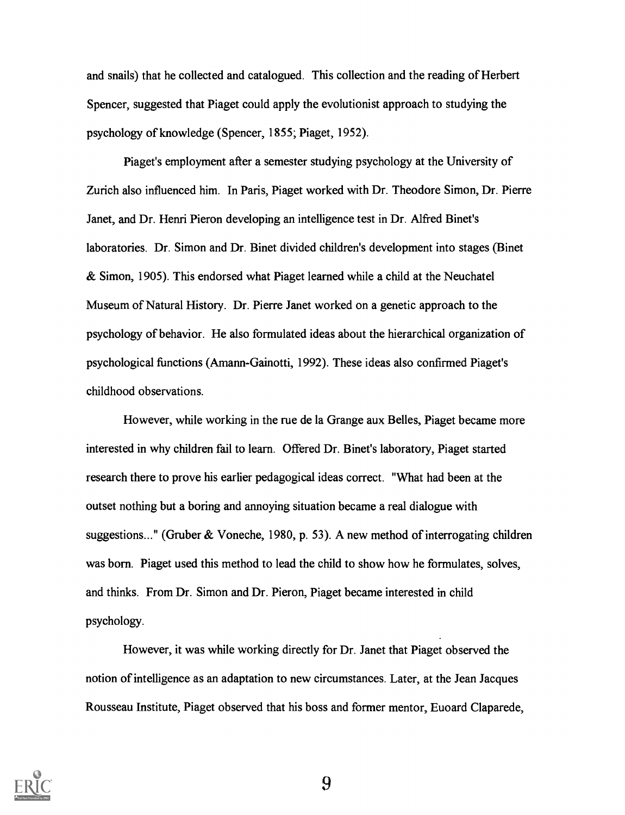and snails) that he collected and catalogued. This collection and the reading of Herbert Spencer, suggested that Piaget could apply the evolutionist approach to studying the psychology of knowledge (Spencer, 1855; Piaget, 1952).

Piaget's employment after a semester studying psychology at the University of Zurich also influenced him. In Paris, Piaget worked with Dr. Theodore Simon, Dr. Pierre Janet, and Dr. Henri Pieron developing an intelligence test in Dr. Alfred Binet's laboratories. Dr. Simon and Dr. Binet divided children's development into stages (Binet & Simon, 1905). This endorsed what Piaget learned while a child at the Neuchatel Museum of Natural History. Dr. Pierre Janet worked on a genetic approach to the psychology of behavior. He also formulated ideas about the hierarchical organization of psychological functions (Amann-Gainotti, 1992). These ideas also confirmed Piaget's childhood observations.

However, while working in the rue de la Grange aux Belles, Piaget became more interested in why children fail to learn. Offered Dr. Binet's laboratory, Piaget started research there to prove his earlier pedagogical ideas correct. "What had been at the outset nothing but a boring and annoying situation became a real dialogue with suggestions..." (Gruber & Voneche, 1980, p. 53). A new method of interrogating children was born. Piaget used this method to lead the child to show how he formulates, solves, and thinks. From Dr. Simon and Dr. Pieron, Piaget became interested in child psychology.

However, it was while working directly for Dr. Janet that Piaget observed the notion of intelligence as an adaptation to new circumstances. Later, at the Jean Jacques Rousseau Institute, Piaget observed that his boss and former mentor, Euoard Claparede,

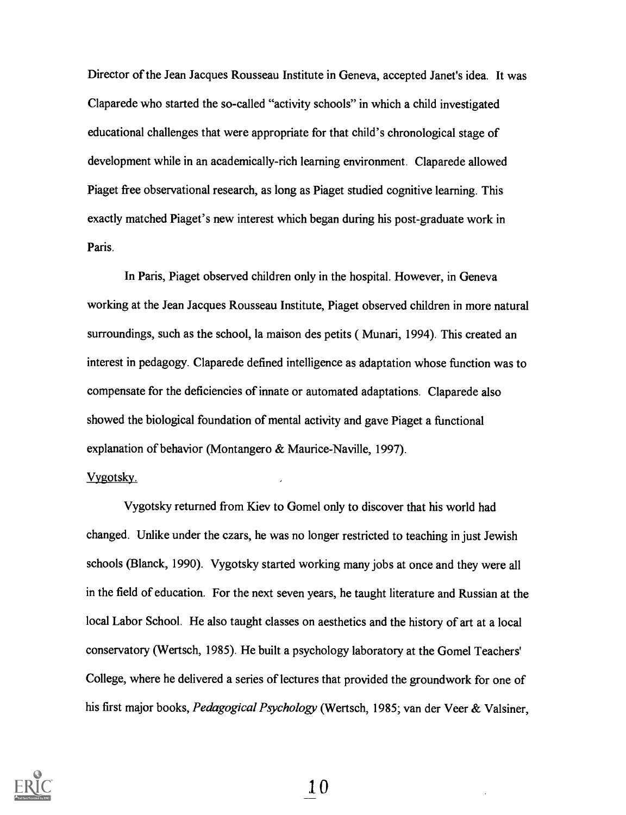Director of the Jean Jacques Rousseau Institute in Geneva, accepted Janet's idea. It was Claparede who started the so-called "activity schools" in which a child investigated educational challenges that were appropriate for that child's chronological stage of development while in an academically-rich learning environment. Claparede allowed Piaget free observational research, as long as Piaget studied cognitive learning. This exactly matched Piaget's new interest which began during his post-graduate work in Paris.

In Paris, Piaget observed children only in the hospital. However, in Geneva working at the Jean Jacques Rousseau Institute, Piaget observed children in more natural surroundings, such as the school, la maison des petits ( Munari, 1994). This created an interest in pedagogy. Claparede defined intelligence as adaptation whose function was to compensate for the deficiencies of innate or automated adaptations. Claparede also showed the biological foundation of mental activity and gave Piaget a functional explanation of behavior (Montangero & Maurice-Naville, 1997).

### Vygotsky.

Vygotsky returned from Kiev to Gomel only to discover that his world had changed. Unlike under the czars, he was no longer restricted to teaching in just Jewish schools (Blanck, 1990). Vygotsky started working many jobs at once and they were all in the field of education. For the next seven years, he taught literature and Russian at the local Labor School. He also taught classes on aesthetics and the history of art at a local conservatory (Wertsch, 1985). He built a psychology laboratory at the Gomel Teachers' College, where he delivered a series of lectures that provided the groundwork for one of his first major books, Pedagogical Psychology (Wertsch, 1985; van der Veer & Valsiner,

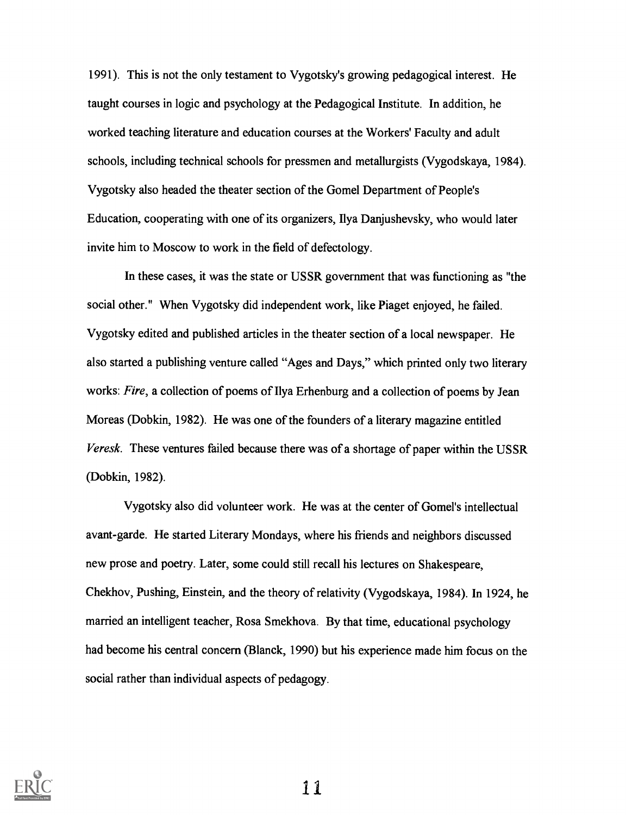1991). This is not the only testament to Vygotsky's growing pedagogical interest. He taught courses in logic and psychology at the Pedagogical Institute. In addition, he worked teaching literature and education courses at the Workers' Faculty and adult schools, including technical schools for pressmen and metallurgists (Vygodskaya, 1984). Vygotsky also headed the theater section of the Gomel Department of People's Education, cooperating with one of its organizers, Ilya Danjushevsky, who would later invite him to Moscow to work in the field of defectology.

In these cases, it was the state or USSR government that was functioning as "the social other." When Vygotsky did independent work, like Piaget enjoyed, he failed. Vygotsky edited and published articles in the theater section of a local newspaper. He also started a publishing venture called "Ages and Days," which printed only two literary works: Fire, a collection of poems of Ilya Erhenburg and a collection of poems by Jean Moreas (Dobkin, 1982). He was one of the founders of a literary magazine entitled Veresk. These ventures failed because there was of a shortage of paper within the USSR (Dobkin, 1982).

Vygotsky also did volunteer work. He was at the center of Gomel's intellectual avant-garde. He started Literary Mondays, where his friends and neighbors discussed new prose and poetry. Later, some could still recall his lectures on Shakespeare, Chekhov, Pushing, Einstein, and the theory of relativity (Vygodskaya, 1984). In 1924, he married an intelligent teacher, Rosa Smekhova. By that time, educational psychology had become his central concern (Blanck, 1990) but his experience made him focus on the social rather than individual aspects of pedagogy.

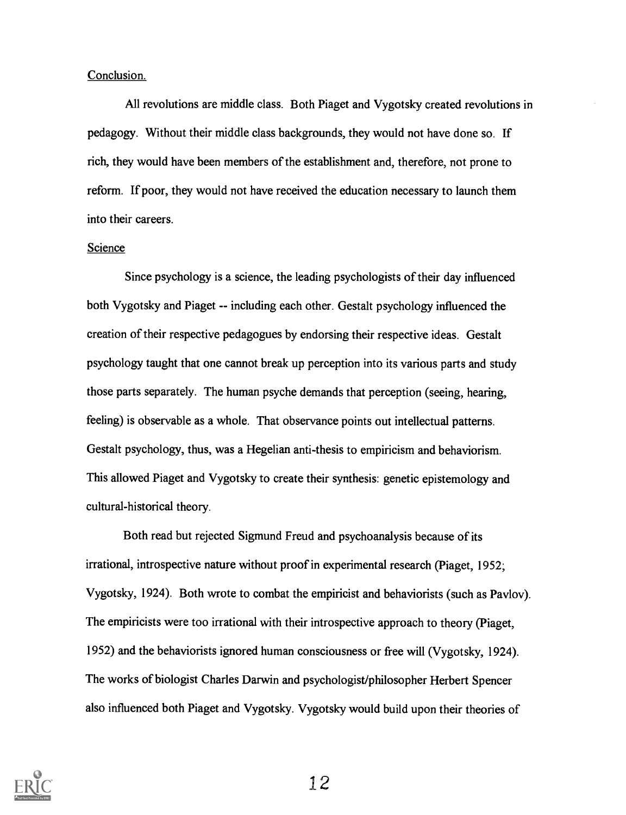#### Conclusion.

All revolutions are middle class. Both Piaget and Vygotsky created revolutions in pedagogy. Without their middle class backgrounds, they would not have done so. If rich, they would have been members of the establishment and, therefore, not prone to reform. If poor, they would not have received the education necessary to launch them into their careers.

#### Science

Since psychology is a science, the leading psychologists of their day influenced both Vygotsky and Piaget -- including each other. Gestalt psychology influenced the creation of their respective pedagogues by endorsing their respective ideas. Gestalt psychology taught that one cannot break up perception into its various parts and study those parts separately. The human psyche demands that perception (seeing, hearing, feeling) is observable as a whole. That observance points out intellectual patterns. Gestalt psychology, thus, was a Hegelian anti-thesis to empiricism and behaviorism. This allowed Piaget and Vygotsky to create their synthesis: genetic epistemology and cultural-historical theory.

Both read but rejected Sigmund Freud and psychoanalysis because of its irrational, introspective nature without proof in experimental research (Piaget, 1952; Vygotsky, 1924). Both wrote to combat the empiricist and behaviorists (such as Pavlov). The empiricists were too irrational with their introspective approach to theory (Piaget, 1952) and the behaviorists ignored human consciousness or free will (Vygotsky, 1924). The works of biologist Charles Darwin and psychologist/philosopher Herbert Spencer also influenced both Piaget and Vygotsky. Vygotsky would build upon their theories of

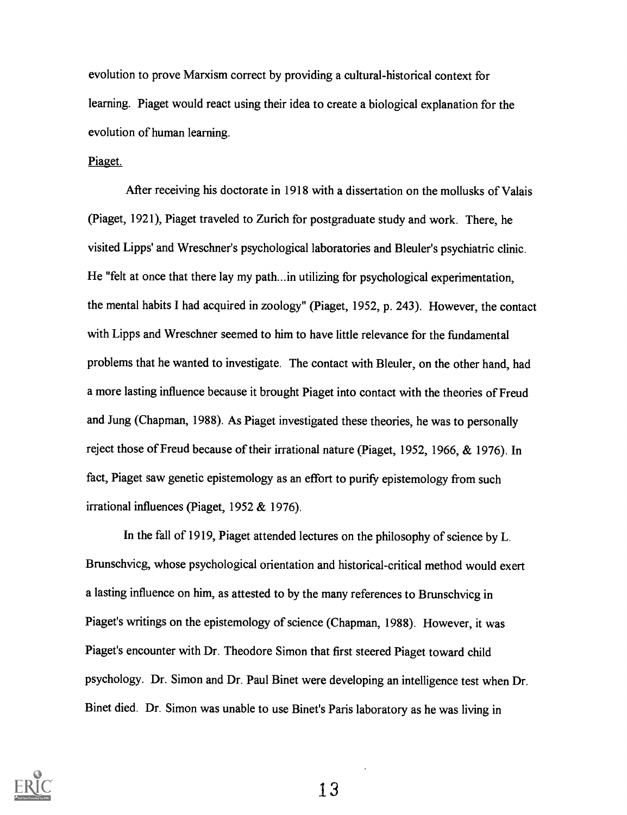evolution to prove Marxism correct by providing a cultural-historical context for learning. Piaget would react using their idea to create a biological explanation for the evolution of human learning.

#### Piaget.

After receiving his doctorate in 1918 with a dissertation on the mollusks of Valais (Piaget, 1921), Piaget traveled to Zurich for postgraduate study and work. There, he visited Lipps' and Wreschner's psychological laboratories and Bleuler's psychiatric clinic. He "felt at once that there lay my path...in utilizing for psychological experimentation, the mental habits I had acquired in zoology" (Piaget, 1952, p. 243). However, the contact with Lipps and Wreschner seemed to him to have little relevance for the fundamental problems that he wanted to investigate. The contact with Bleuler, on the other hand, had a more lasting influence because it brought Piaget into contact with the theories of Freud and Jung (Chapman, 1988). As Piaget investigated these theories, he was to personally reject those of Freud because of their irrational nature (Piaget, 1952, 1966, & 1976). In fact, Piaget saw genetic epistemology as an effort to purify epistemology from such irrational influences (Piaget, 1952 & 1976).

In the fall of 1919, Piaget attended lectures on the philosophy of science by L. Brunschvicg, whose psychological orientation and historical-critical method would exert a lasting influence on him, as attested to by the many references to Brunschvicg in Piaget's writings on the epistemology of science (Chapman, 1988). However, it was Piaget's encounter with Dr. Theodore Simon that first steered Piaget toward child psychology. Dr. Simon and Dr. Paul Binet were developing an intelligence test when Dr. Binet died. Dr. Simon was unable to use Binet's Paris laboratory as he was living in

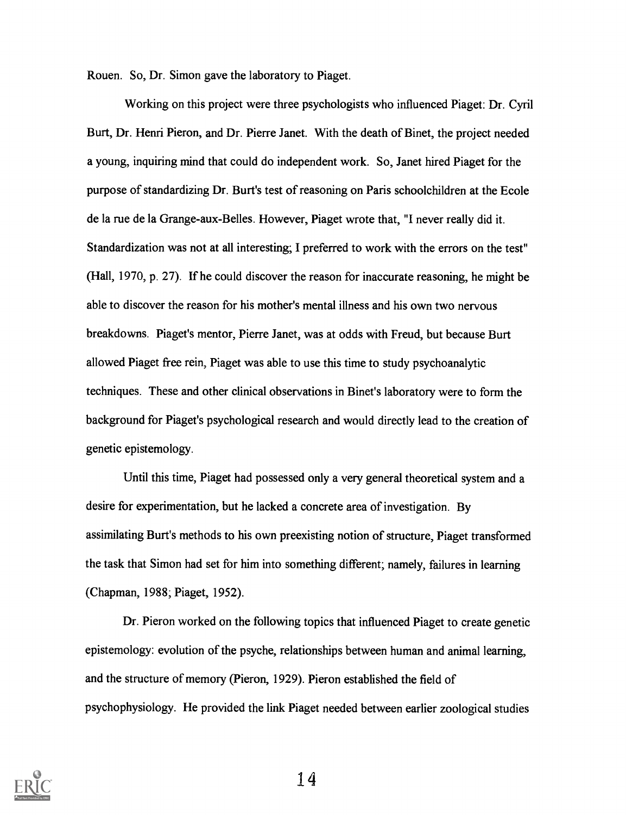Rouen. So, Dr. Simon gave the laboratory to Piaget.

Working on this project were three psychologists who influenced Piaget: Dr. Cyril Burt, Dr. Henri Pieron, and Dr. Pierre Janet. With the death of Binet, the project needed a young, inquiring mind that could do independent work. So, Janet hired Piaget for the purpose of standardizing Dr. Burt's test of reasoning on Paris schoolchildren at the Ecole de la rue de la Grange-aux-Belles. However, Piaget wrote that, "I never really did it. Standardization was not at all interesting; I preferred to work with the errors on the test" (Hall, 1970, p. 27). If he could discover the reason for inaccurate reasoning, he might be able to discover the reason for his mother's mental illness and his own two nervous breakdowns. Piaget's mentor, Pierre Janet, was at odds with Freud, but because Burt allowed Piaget free rein, Piaget was able to use this time to study psychoanalytic techniques. These and other clinical observations in Binet's laboratory were to form the background for Piaget's psychological research and would directly lead to the creation of genetic epistemology.

Until this time, Piaget had possessed only a very general theoretical system and a desire for experimentation, but he lacked a concrete area of investigation. By assimilating Burt's methods to his own preexisting notion of structure, Piaget transformed the task that Simon had set for him into something different; namely, failures in learning (Chapman, 1988; Piaget, 1952).

Dr. Pieron worked on the following topics that influenced Piaget to create genetic epistemology: evolution of the psyche, relationships between human and animal learning, and the structure of memory (Pieron, 1929). Pieron established the field of psychophysiology. He provided the link Piaget needed between earlier zoological studies

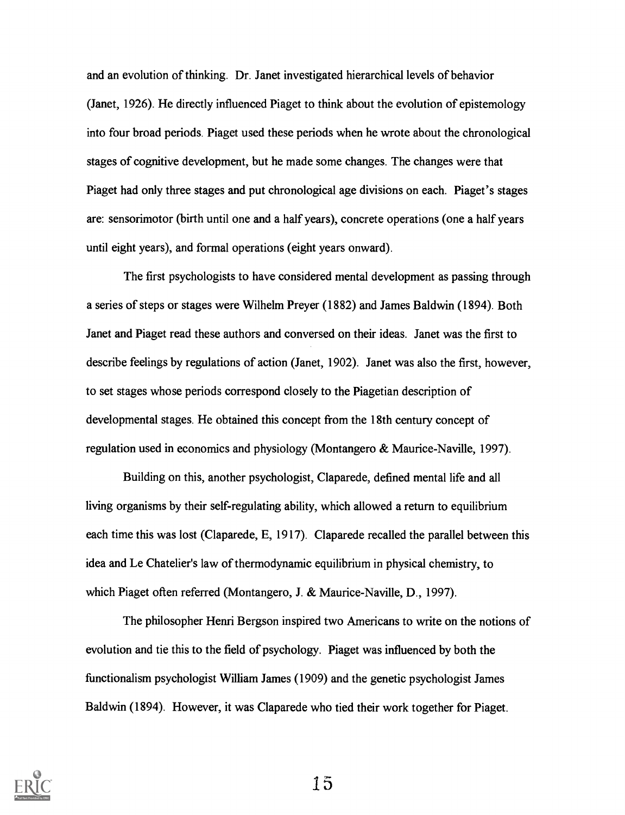and an evolution of thinking. Dr. Janet investigated hierarchical levels of behavior (Janet, 1926). He directly influenced Piaget to think about the evolution of epistemology into four broad periods. Piaget used these periods when he wrote about the chronological stages of cognitive development, but he made some changes. The changes were that Piaget had only three stages and put chronological age divisions on each. Piaget's stages are: sensorimotor (birth until one and a half years), concrete operations (one a half years until eight years), and formal operations (eight years onward).

The first psychologists to have considered mental development as passing through a series of steps or stages were Wilhelm Preyer (1882) and James Baldwin (1894). Both Janet and Piaget read these authors and conversed on their ideas. Janet was the first to describe feelings by regulations of action (Janet, 1902). Janet was also the first, however, to set stages whose periods correspond closely to the Piagetian description of developmental stages. He obtained this concept from the 18th century concept of regulation used in economics and physiology (Montangero & Maurice-Naville, 1997).

Building on this, another psychologist, Claparede, defined mental life and all living organisms by their self-regulating ability, which allowed a return to equilibrium each time this was lost (Claparede, E, 1917). Claparede recalled the parallel between this idea and Le Chatelier's law of thermodynamic equilibrium in physical chemistry, to which Piaget often referred (Montangero, J. & Maurice-Naville, D., 1997).

The philosopher Henri Bergson inspired two Americans to write on the notions of evolution and tie this to the field of psychology. Piaget was influenced by both the functionalism psychologist William James (1909) and the genetic psychologist James Baldwin (1894). However, it was Claparede who tied their work together for Piaget.

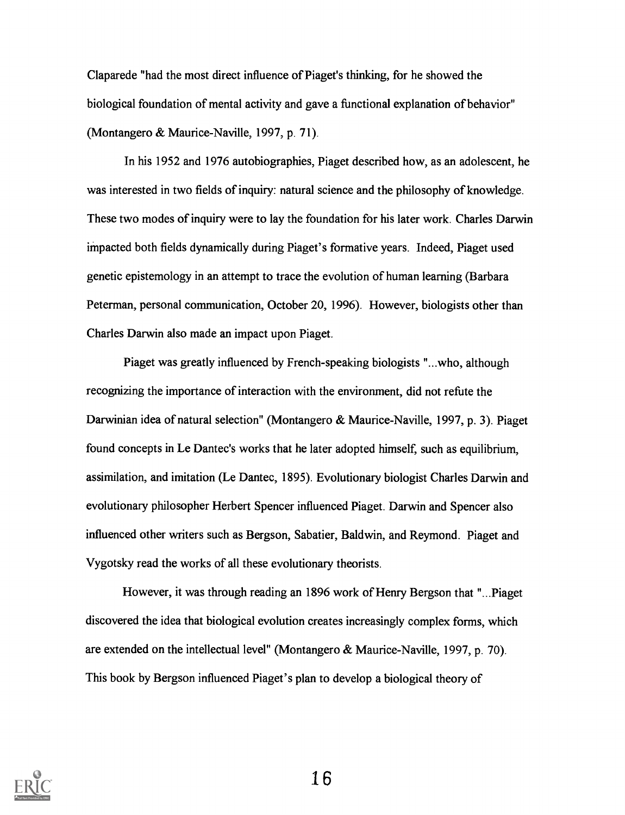Claparede "had the most direct influence of Piaget's thinking, for he showed the biological foundation of mental activity and gave a functional explanation of behavior" (Montangero & Maurice-Naville, 1997, p. 71).

In his 1952 and 1976 autobiographies, Piaget described how, as an adolescent, he was interested in two fields of inquiry: natural science and the philosophy of knowledge. These two modes of inquiry were to lay the foundation for his later work. Charles Darwin impacted both fields dynamically during Piaget's formative years. Indeed, Piaget used genetic epistemology in an attempt to trace the evolution of human learning (Barbara Peterman, personal communication, October 20, 1996). However, biologists other than Charles Darwin also made an impact upon Piaget.

Piaget was greatly influenced by French-speaking biologists "...who, although recognizing the importance of interaction with the environment, did not refute the Darwinian idea of natural selection" (Montangero & Maurice-Naville, 1997, p. 3). Piaget found concepts in Le Dantec's works that he later adopted himself, such as equilibrium, assimilation, and imitation (Le Dantec, 1895). Evolutionary biologist Charles Darwin and evolutionary philosopher Herbert Spencer influenced Piaget. Darwin and Spencer also influenced other writers such as Bergson, Sabatier, Baldwin, and Reymond. Piaget and Vygotsky read the works of all these evolutionary theorists.

However, it was through reading an 1896 work of Henry Bergson that "...Piaget discovered the idea that biological evolution creates increasingly complex forms, which are extended on the intellectual level" (Montangero & Maurice-Naville, 1997, p. 70). This book by Bergson influenced Piaget's plan to develop a biological theory of

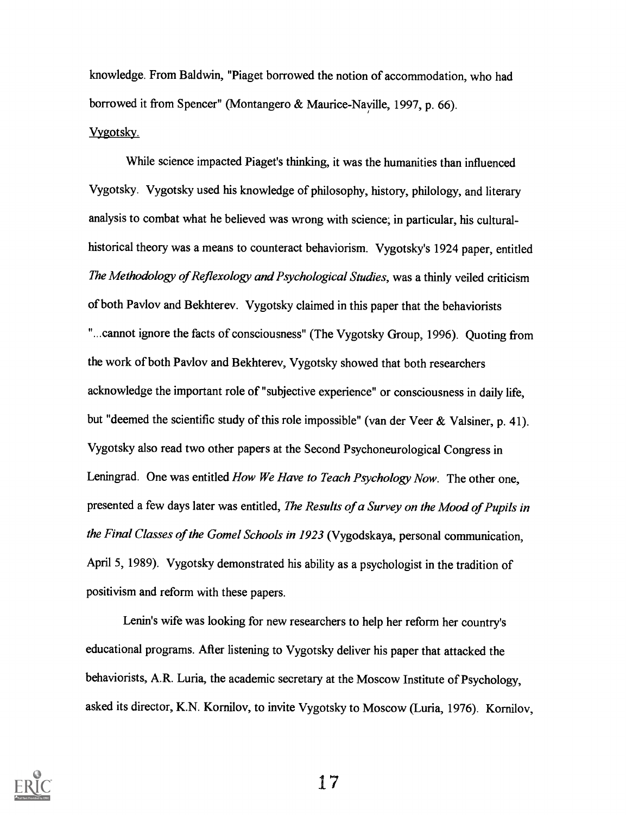knowledge. From Baldwin, "Piaget borrowed the notion of accommodation, who had borrowed it from Spencer" (Montangero & Maurice-Nayille, 1997, p. 66). Vygotsky.

While science impacted Piaget's thinking, it was the humanities than influenced Vygotsky. Vygotsky used his knowledge of philosophy, history, philology, and literary analysis to combat what he believed was wrong with science; in particular, his culturalhistorical theory was a means to counteract behaviorism. Vygotsky's 1924 paper, entitled The Methodology of Reflexology and Psychological Studies, was a thinly veiled criticism of both Pavlov and Bekhterev. Vygotsky claimed in this paper that the behaviorists "...cannot ignore the facts of consciousness" (The Vygotsky Group, 1996). Quoting from the work of both Pavlov and Bekhterev, Vygotsky showed that both researchers acknowledge the important role of "subjective experience" or consciousness in daily life, but "deemed the scientific study of this role impossible" (van der Veer & Valsiner, p. 41). Vygotsky also read two other papers at the Second Psychoneurological Congress in Leningrad. One was entitled *How We Have to Teach Psychology Now*. The other one, presented a few days later was entitled, The Results of a Survey on the Mood of Pupils in the Final Classes of the Gomel Schools in 1923 (Vygodskaya, personal communication, April 5, 1989). Vygotsky demonstrated his ability as a psychologist in the tradition of positivism and reform with these papers.

Lenin's wife was looking for new researchers to help her reform her country's educational programs. After listening to Vygotsky deliver his paper that attacked the behaviorists, A.R. Luria, the academic secretary at the Moscow Institute of Psychology, asked its director, K.N. Kornilov, to invite Vygotsky to Moscow (Luria, 1976). Kornilov,

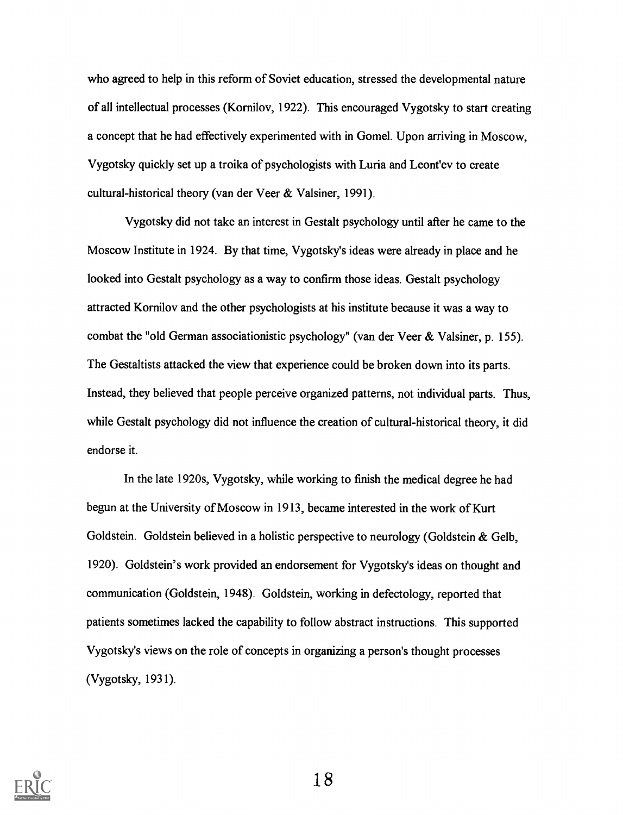who agreed to help in this reform of Soviet education, stressed the developmental nature of all intellectual processes (Kornilov, 1922). This encouraged Vygotsky to start creating a concept that he had effectively experimented with in Gomel. Upon arriving in Moscow, Vygotsky quickly set up a troika of psychologists with Luria and Leont'ev to create cultural-historical theory (van der Veer & Valsiner, 1991).

Vygotsky did not take an interest in Gestalt psychology until after he came to the Moscow Institute in 1924. By that time, Vygotsky's ideas were already in place and he looked into Gestalt psychology as a way to confirm those ideas. Gestalt psychology attracted Kornilov and the other psychologists at his institute because it was a way to combat the "old German associationistic psychology" (van der Veer  $\&$  Valsiner, p. 155). The Gestaltists attacked the view that experience could be broken down into its parts. Instead, they believed that people perceive organized patterns, not individual parts. Thus, while Gestalt psychology did not influence the creation of cultural-historical theory, it did endorse it.

In the late 1920s, Vygotsky, while working to finish the medical degree he had begun at the University of Moscow in 1913, became interested in the work of Kurt Goldstein. Goldstein believed in a holistic perspective to neurology (Goldstein & Gelb, 1920). Goldstein's work provided an endorsement for Vygotsky's ideas on thought and communication (Goldstein, 1948). Goldstein, working in defectology, reported that patients sometimes lacked the capability to follow abstract instructions. This supported Vygotsky's views on the role of concepts in organizing a person's thought processes (Vygotsky, 1931).

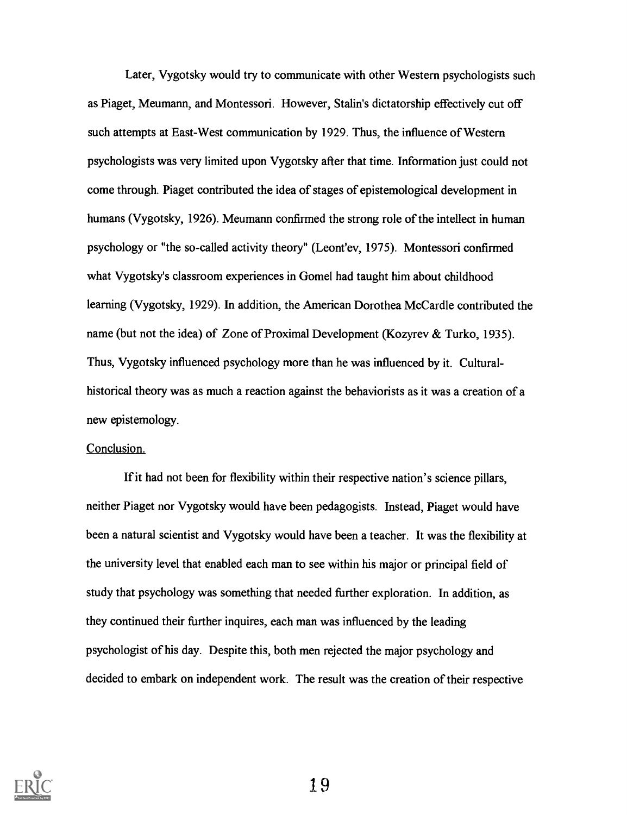Later, Vygotsky would try to communicate with other Western psychologists such as Piaget, Meumann, and Montessori. However, Stalin's dictatorship effectively cut off such attempts at East-West communication by 1929. Thus, the influence of Western psychologists was very limited upon Vygotsky after that time. Information just could not come through. Piaget contributed the idea of stages of epistemological development in humans (Vygotsky, 1926). Meumann confirmed the strong role of the intellect in human psychology or "the so-called activity theory" (Leont'ev, 1975). Montessori confirmed what Vygotsky's classroom experiences in Gomel had taught him about childhood learning (Vygotsky, 1929). In addition, the American Dorothea McCardle contributed the name (but not the idea) of Zone of Proximal Development (Kozyrev & Turko, 1935). Thus, Vygotsky influenced psychology more than he was influenced by it. Culturalhistorical theory was as much a reaction against the behaviorists as it was a creation of a new epistemology.

#### Conclusion.

If it had not been for flexibility within their respective nation's science pillars, neither Piaget nor Vygotsky would have been pedagogists. Instead, Piaget would have been a natural scientist and Vygotsky would have been a teacher. It was the flexibility at the university level that enabled each man to see within his major or principal field of study that psychology was something that needed further exploration. In addition, as they continued their further inquires, each man was influenced by the leading psychologist of his day. Despite this, both men rejected the major psychology and decided to embark on independent work. The result was the creation of their respective

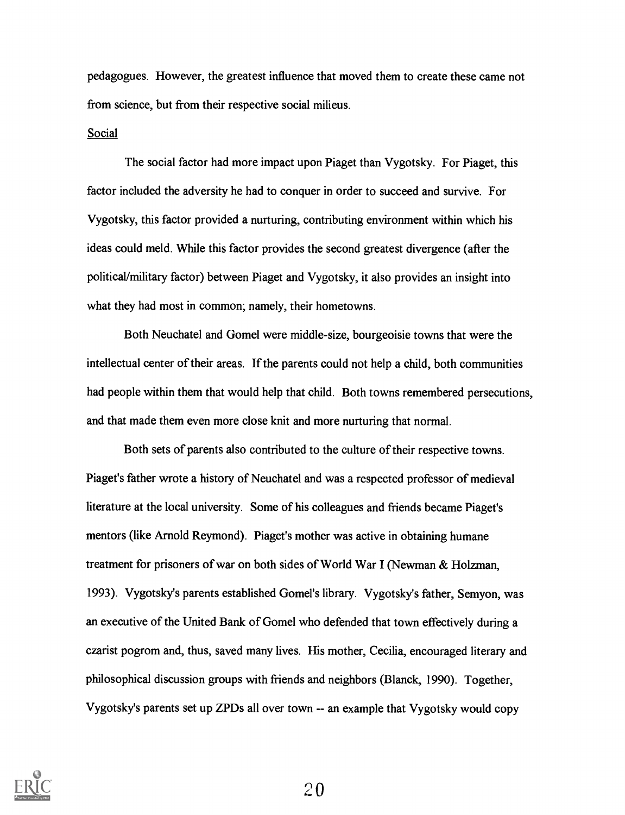pedagogues. However, the greatest influence that moved them to create these came not from science, but from their respective social milieus.

#### Social

The social factor had more impact upon Piaget than Vygotsky. For Piaget, this factor included the adversity he had to conquer in order to succeed and survive. For Vygotsky, this factor provided a nurturing, contributing environment within which his ideas could meld. While this factor provides the second greatest divergence (after the political/military factor) between Piaget and Vygotsky, it also provides an insight into what they had most in common; namely, their hometowns.

Both Neuchatel and Gomel were middle-size, bourgeoisie towns that were the intellectual center of their areas. If the parents could not help a child, both communities had people within them that would help that child. Both towns remembered persecutions, and that made them even more close knit and more nurturing that normal.

Both sets of parents also contributed to the culture of their respective towns. Piaget's father wrote a history of Neuchatel and was a respected professor of medieval literature at the local university. Some of his colleagues and friends became Piaget's mentors (like Arnold Reymond). Piaget's mother was active in obtaining humane treatment for prisoners of war on both sides of World War I (Newman & Holzman, 1993). Vygotsky's parents established Gomel's library. Vygotsky's father, Semyon, was an executive of the United Bank of Gomel who defended that town effectively during a czarist pogrom and, thus, saved many lives. His mother, Cecilia, encouraged literary and philosophical discussion groups with friends and neighbors (Blanck, 1990). Together, Vygotsky's parents set up ZPDs all over town -- an example that Vygotsky would copy

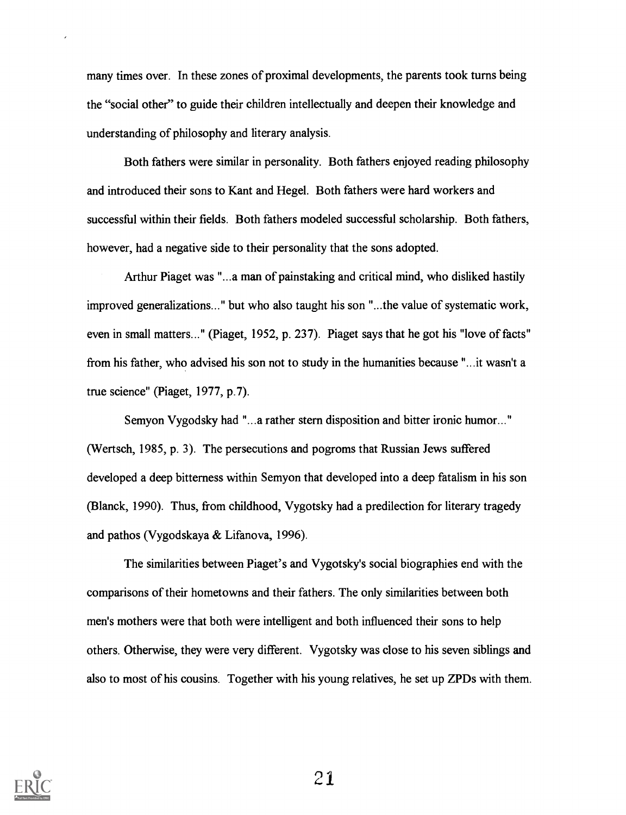many times over. In these zones of proximal developments, the parents took turns being the "social other" to guide their children intellectually and deepen their knowledge and understanding of philosophy and literary analysis.

Both fathers were similar in personality. Both fathers enjoyed reading philosophy and introduced their sons to Kant and Hegel. Both fathers were hard workers and successful within their fields. Both fathers modeled successful scholarship. Both fathers, however, had a negative side to their personality that the sons adopted.

Arthur Piaget was "...a man of painstaking and critical mind, who disliked hastily improved generalizations..." but who also taught his son "...the value of systematic work, even in small matters..." (Piaget, 1952, p. 237). Piaget says that he got his "love of facts" from his father, who advised his son not to study in the humanities because "...it wasn't a true science" (Piaget, 1977, p.7).

Semyon Vygodsky had "...a rather stern disposition and bitter ironic humor..." (Wertsch, 1985, p. 3). The persecutions and pogroms that Russian Jews suffered developed a deep bitterness within Semyon that developed into a deep fatalism in his son (Blanck, 1990). Thus, from childhood, Vygotsky had a predilection for literary tragedy and pathos (Vygodskaya & Lifanova, 1996).

The similarities between Piaget's and Vygotsky's social biographies end with the comparisons of their hometowns and their fathers. The only similarities between both men's mothers were that both were intelligent and both influenced their sons to help others. Otherwise, they were very different. Vygotsky was close to his seven siblings and also to most of his cousins. Together with his young relatives, he set up ZPDs with them.

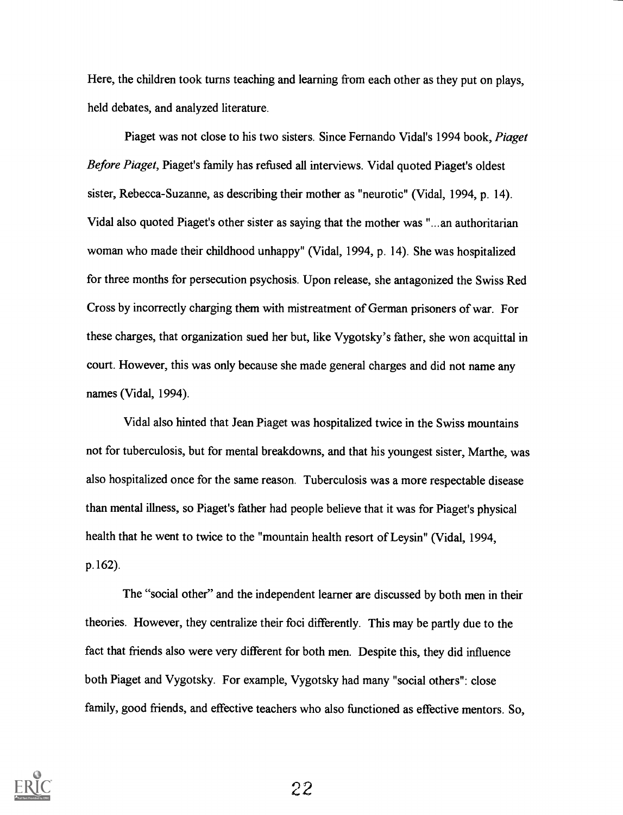Here, the children took turns teaching and learning from each other as they put on plays, held debates, and analyzed literature.

Piaget was not close to his two sisters. Since Fernando Vidal's 1994 book, Piaget Before Piaget, Piaget's family has refused all interviews. Vidal quoted Piaget's oldest sister, Rebecca-Suzanne, as describing their mother as "neurotic" (Vidal, 1994, p. 14). Vidal also quoted Piaget's other sister as saying that the mother was "...an authoritarian woman who made their childhood unhappy" (Vidal, 1994, p. 14). She was hospitalized for three months for persecution psychosis. Upon release, she antagonized the Swiss Red Cross by incorrectly charging them with mistreatment of German prisoners of war. For these charges, that organization sued her but, like Vygotsky's father, she won acquittal in court. However, this was only because she made general charges and did not name any names (Vidal, 1994).

Vidal also hinted that Jean Piaget was hospitalized twice in the Swiss mountains not for tuberculosis, but for mental breakdowns, and that his youngest sister, Marthe, was also hospitalized once for the same reason. Tuberculosis was a more respectable disease than mental illness, so Piaget's father had people believe that it was for Piaget's physical health that he went to twice to the "mountain health resort of Leysin" (Vidal, 1994, p.162).

The "social other" and the independent learner are discussed by both men in their theories. However, they centralize their foci differently. This may be partly due to the fact that friends also were very different for both men. Despite this, they did influence both Piaget and Vygotsky. For example, Vygotsky had many "social others": close family, good friends, and effective teachers who also functioned as effective mentors. So,

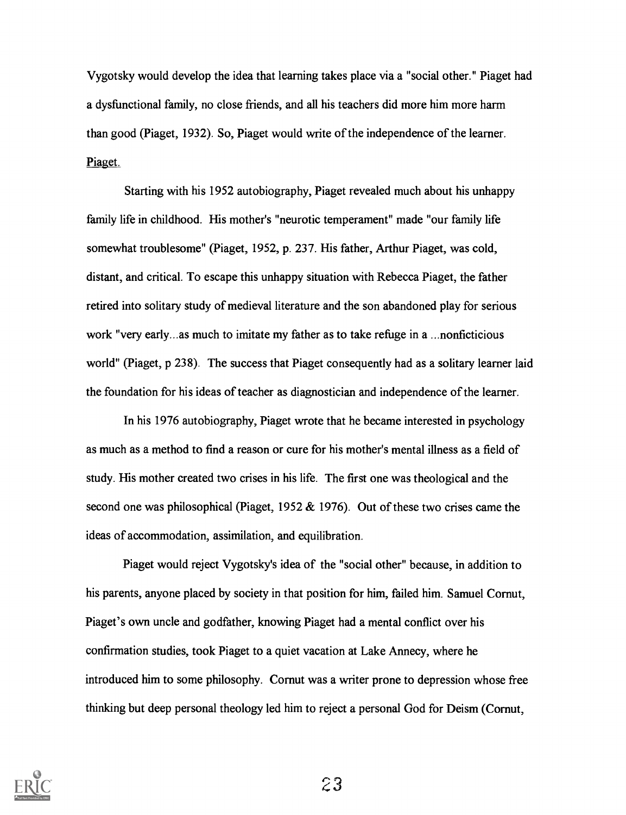Vygotsky would develop the idea that learning takes place via a "social other." Piaget had a dysfunctional family, no close friends, and all his teachers did more him more harm than good (Piaget, 1932). So, Piaget would write of the independence of the learner. Piaget.

Starting with his 1952 autobiography, Piaget revealed much about his unhappy family life in childhood. His mother's "neurotic temperament" made "our family life somewhat troublesome" (Piaget, 1952, p. 237. His father, Arthur Piaget, was cold, distant, and critical. To escape this unhappy situation with Rebecca Piaget, the father retired into solitary study of medieval literature and the son abandoned play for serious work "very early...as much to imitate my father as to take refuge in a ...nonficticious world" (Piaget, p 238). The success that Piaget consequently had as a solitary learner laid the foundation for his ideas of teacher as diagnostician and independence of the learner.

In his 1976 autobiography, Piaget wrote that he became interested in psychology as much as a method to find a reason or cure for his mother's mental illness as a field of study. His mother created two crises in his life. The first one was theological and the second one was philosophical (Piaget, 1952 & 1976). Out of these two crises came the ideas of accommodation, assimilation, and equilibration.

Piaget would reject Vygotsky's idea of the "social other" because, in addition to his parents, anyone placed by society in that position for him, failed him. Samuel Cornut, Piaget's own uncle and godfather, knowing Piaget had a mental conflict over his confirmation studies, took Piaget to a quiet vacation at Lake Annecy, where he introduced him to some philosophy. Cornut was a writer prone to depression whose free thinking but deep personal theology led him to reject a personal God for Deism (Cornut,

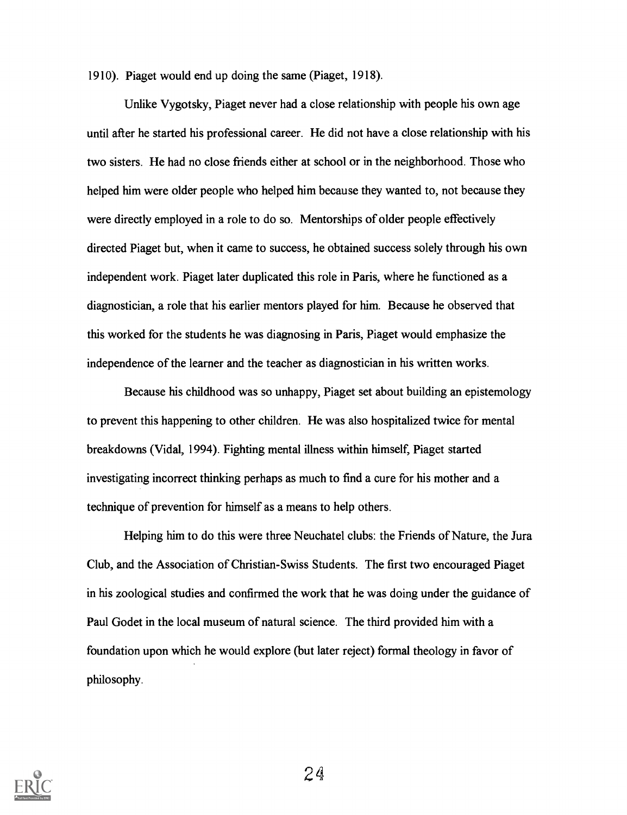1910). Piaget would end up doing the same (Piaget, 1918).

Unlike Vygotsky, Piaget never had a close relationship with people his own age until after he started his professional career. He did not have a close relationship with his two sisters. He had no close friends either at school or in the neighborhood. Those who helped him were older people who helped him because they wanted to, not because they were directly employed in a role to do so. Mentorships of older people effectively directed Piaget but, when it came to success, he obtained success solely through his own independent work. Piaget later duplicated this role in Paris, where he functioned as a diagnostician, a role that his earlier mentors played for him. Because he observed that this worked for the students he was diagnosing in Paris, Piaget would emphasize the independence of the learner and the teacher as diagnostician in his written works.

Because his childhood was so unhappy, Piaget set about building an epistemology to prevent this happening to other children. He was also hospitalized twice for mental breakdowns (Vidal, 1994). Fighting mental illness within himself, Piaget started investigating incorrect thinking perhaps as much to find a cure for his mother and a technique of prevention for himself as a means to help others.

Helping him to do this were three Neuchatel clubs: the Friends of Nature, the Jura Club, and the Association of Christian-Swiss Students. The first two encouraged Piaget in his zoological studies and confirmed the work that he was doing under the guidance of Paul Godet in the local museum of natural science. The third provided him with a foundation upon which he would explore (but later reject) formal theology in favor of philosophy.

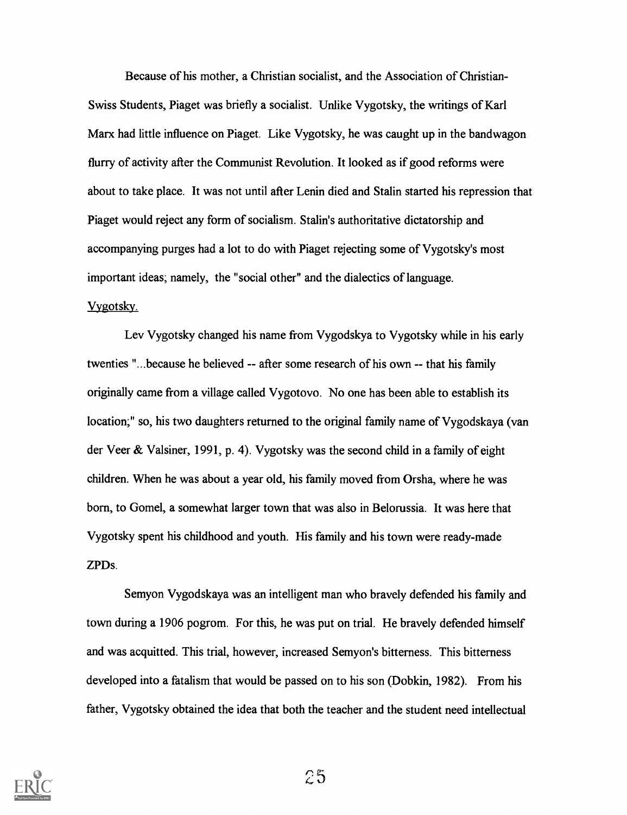Because of his mother, a Christian socialist, and the Association of Christian-Swiss Students, Piaget was briefly a socialist. Unlike Vygotsky, the writings of Karl Marx had little influence on Piaget. Like Vygotsky, he was caught up in the bandwagon flurry of activity after the Communist Revolution. It looked as if good reforms were about to take place. It was not until after Lenin died and Stalin started his repression that Piaget would reject any form of socialism. Stalin's authoritative dictatorship and accompanying purges had a lot to do with Piaget rejecting some of Vygotsky's most important ideas; namely, the "social other" and the dialectics of language. Vygotsky.

Lev Vygotsky changed his name from Vygodskya to Vygotsky while in his early twenties "...because he believed -- after some research of his own -- that his family originally came from a village called Vygotovo. No one has been able to establish its location;" so, his two daughters returned to the original family name of Vygodskaya (van der Veer & Valsiner, 1991, p. 4). Vygotsky was the second child in a family of eight children. When he was about a year old, his family moved from Orsha, where he was born, to Gomel, a somewhat larger town that was also in Belorussia. It was here that Vygotsky spent his childhood and youth. His family and his town were ready-made ZPDs.

Semyon Vygodskaya was an intelligent man who bravely defended his family and town during a 1906 pogrom. For this, he was put on trial. He bravely defended himself and was acquitted. This trial, however, increased Semyon's bitterness. This bitterness developed into a fatalism that would be passed on to his son (Dobkin, 1982). From his father, Vygotsky obtained the idea that both the teacher and the student need intellectual

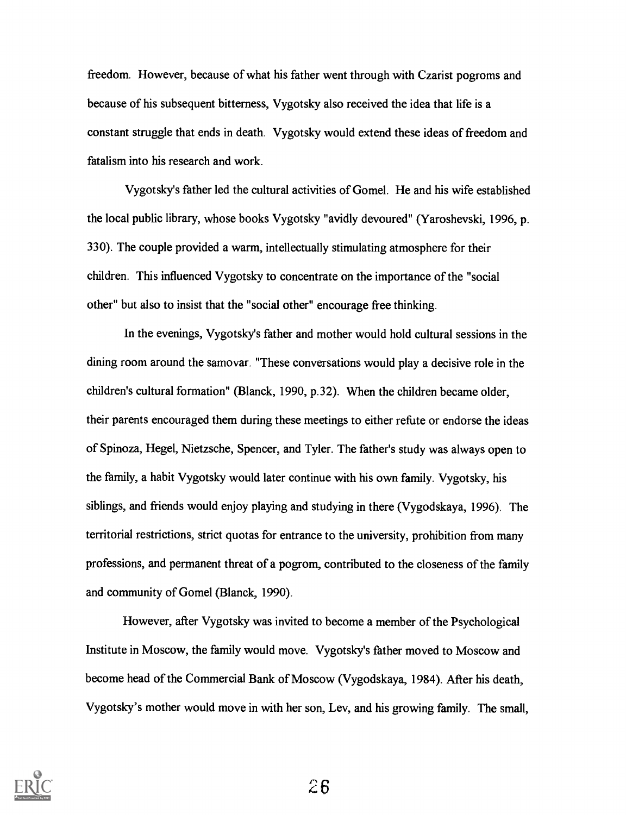freedom. However, because of what his father went through with Czarist pogroms and because of his subsequent bitterness, Vygotsky also received the idea that life is a constant struggle that ends in death. Vygotsky would extend these ideas of freedom and fatalism into his research and work.

Vygotsky's father led the cultural activities of Gomel. He and his wife established the local public library, whose books Vygotsky "avidly devoured" (Yaroshevski, 1996, p. 330). The couple provided a warm, intellectually stimulating atmosphere for their children. This influenced Vygotsky to concentrate on the importance of the "social other" but also to insist that the "social other" encourage free thinking.

In the evenings, Vygotsky's father and mother would hold cultural sessions in the dining room around the samovar. "These conversations would play a decisive role in the children's cultural formation" (Blanck, 1990, p.32). When the children became older, their parents encouraged them during these meetings to either refute or endorse the ideas of Spinoza, Hegel, Nietzsche, Spencer, and Tyler. The father's study was always open to the family, a habit Vygotsky would later continue with his own family. Vygotsky, his siblings, and friends would enjoy playing and studying in there (Vygodskaya, 1996). The territorial restrictions, strict quotas for entrance to the university, prohibition from many professions, and permanent threat of a pogrom, contributed to the closeness of the family and community of Gomel (Blanck, 1990).

However, after Vygotsky was invited to become a member of the Psychological Institute in Moscow, the family would move. Vygotsky's father moved to Moscow and become head of the Commercial Bank of Moscow (Vygodskaya, 1984). After his death, Vygotsky's mother would move in with her son, Lev, and his growing family. The small,

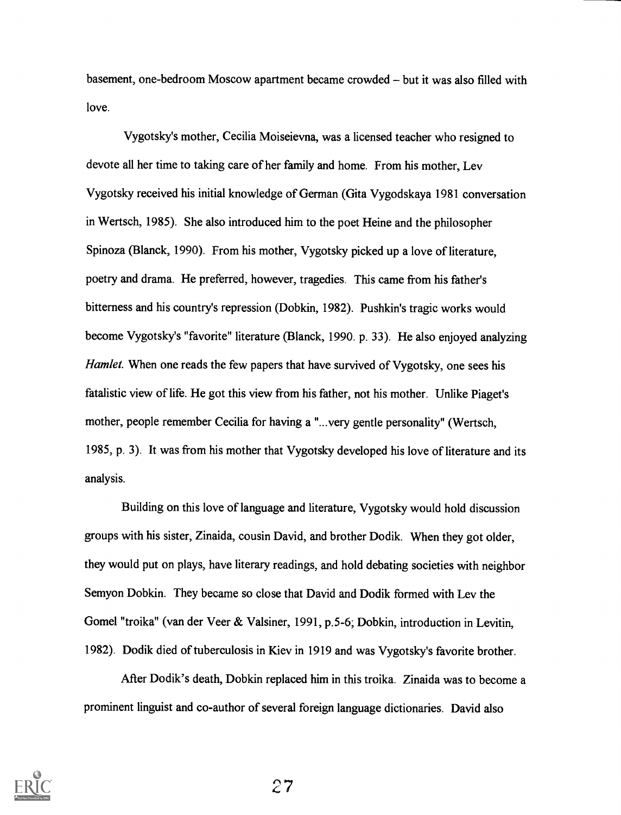basement, one-bedroom Moscow apartment became crowded – but it was also filled with love.

Vygotsky's mother, Cecilia Moiseievna, was a licensed teacher who resigned to devote all her time to taking care of her family and home. From his mother, Lev Vygotsky received his initial knowledge of German (Gita Vygodskaya 1981 conversation in Wertsch, 1985). She also introduced him to the poet Heine and the philosopher Spinoza (Blanck, 1990). From his mother, Vygotsky picked up a love of literature, poetry and drama. He preferred, however, tragedies. This came from his father's bitterness and his country's repression (Dobkin, 1982). Pushkin's tragic works would become Vygotsky's "favorite" literature (Blanck, 1990. p. 33). He also enjoyed analyzing Hamlet. When one reads the few papers that have survived of Vygotsky, one sees his fatalistic view of life. He got this view from his father, not his mother. Unlike Piaget's mother, people remember Cecilia for having a "...very gentle personality" (Wertsch, 1985, p. 3). It was from his mother that Vygotsky developed his love of literature and its analysis.

Building on this love of language and literature, Vygotsky would hold discussion groups with his sister, Zinaida, cousin David, and brother Dodik. When they got older, they would put on plays, have literary readings, and hold debating societies with neighbor Semyon Dobkin. They became so close that David and Dodik formed with Lev the Gomel "troika" (van der Veer & Valsiner, 1991, p.5-6; Dobkin, introduction in Levitin, 1982). Dodik died of tuberculosis in Kiev in 1919 and was Vygotsky's favorite brother.

After Dodik's death, Dobkin replaced him in this troika. Zinaida was to become a prominent linguist and co-author of several foreign language dictionaries. David also

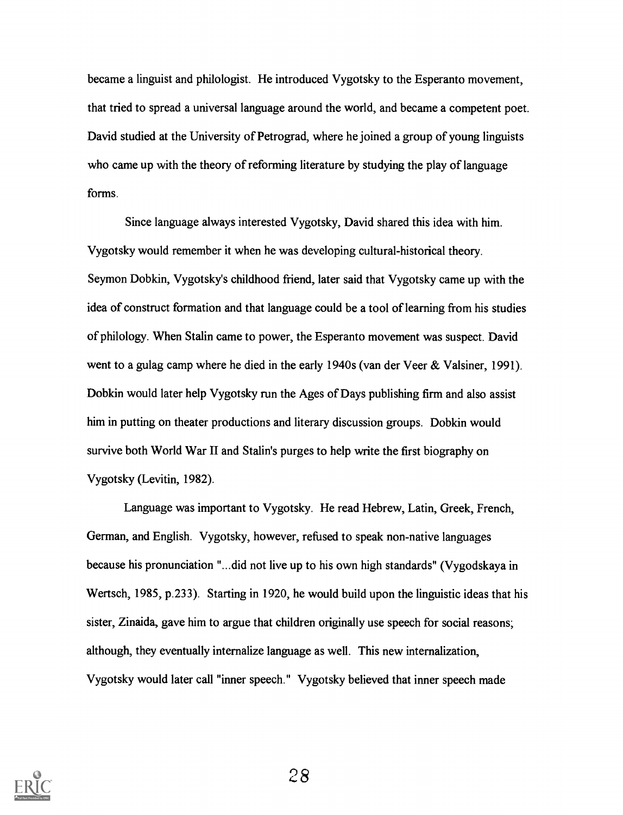became a linguist and philologist. He introduced Vygotsky to the Esperanto movement, that tried to spread a universal language around the world, and became a competent poet. David studied at the University of Petrograd, where he joined a group of young linguists who came up with the theory of reforming literature by studying the play of language forms.

Since language always interested Vygotsky, David shared this idea with him. Vygotsky would remember it when he was developing cultural-historical theory. Seymon Dobkin, Vygotsky's childhood friend, later said that Vygotsky came up with the idea of construct formation and that language could be a tool of learning from his studies of philology. When Stalin came to power, the Esperanto movement was suspect. David went to a gulag camp where he died in the early 1940s (van der Veer & Valsiner, 1991). Dobkin would later help Vygotsky run the Ages of Days publishing firm and also assist him in putting on theater productions and literary discussion groups. Dobkin would survive both World War II and Stalin's purges to help write the first biography on Vygotsky (Levitin, 1982).

Language was important to Vygotsky. He read Hebrew, Latin, Greek, French, German, and English. Vygotsky, however, refused to speak non-native languages because his pronunciation "...did not live up to his own high standards" (Vygodskaya in Wertsch, 1985, p.233). Starting in 1920, he would build upon the linguistic ideas that his sister, Zinaida, gave him to argue that children originally use speech for social reasons; although, they eventually internalize language as well. This new internalization, Vygotsky would later call "inner speech." Vygotsky believed that inner speech made

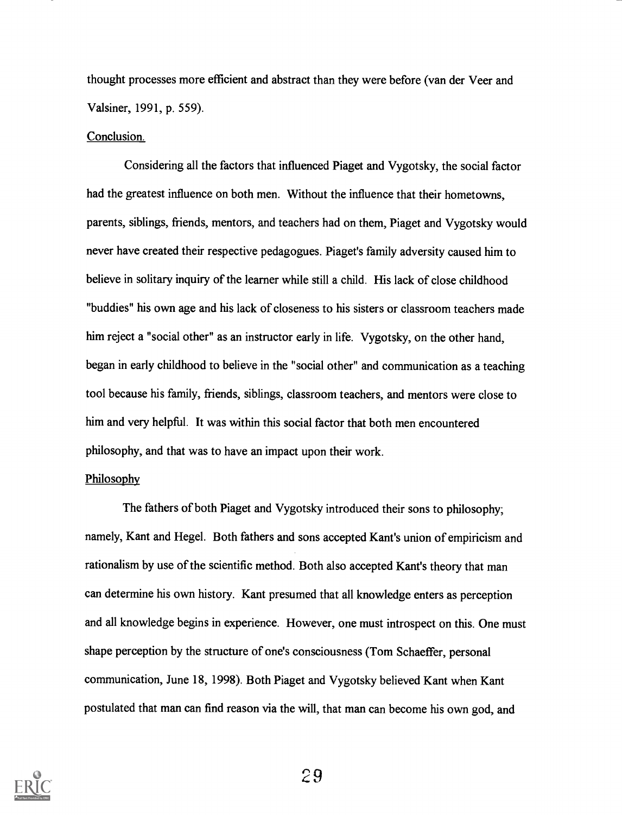thought processes more efficient and abstract than they were before (van der Veer and Valsiner, 1991, p. 559).

#### Conclusion.

Considering all the factors that influenced Piaget and Vygotsky, the social factor had the greatest influence on both men. Without the influence that their hometowns, parents, siblings, friends, mentors, and teachers had on them, Piaget and Vygotsky would never have created their respective pedagogues. Piaget's family adversity caused him to believe in solitary inquiry of the learner while still a child. His lack of close childhood "buddies" his own age and his lack of closeness to his sisters or classroom teachers made him reject a "social other" as an instructor early in life. Vygotsky, on the other hand, began in early childhood to believe in the "social other" and communication as a teaching tool because his family, friends, siblings, classroom teachers, and mentors were close to him and very helpful. It was within this social factor that both men encountered philosophy, and that was to have an impact upon their work.

#### **Philosophy**

The fathers of both Piaget and Vygotsky introduced their sons to philosophy; namely, Kant and Hegel. Both fathers and sons accepted Kant's union of empiricism and rationalism by use of the scientific method. Both also accepted Kant's theory that man can determine his own history. Kant presumed that all knowledge enters as perception and all knowledge begins in experience. However, one must introspect on this. One must shape perception by the structure of one's consciousness (Tom Schaeffer, personal communication, June 18, 1998). Both Piaget and Vygotsky believed Kant when Kant postulated that man can find reason via the will, that man can become his own god, and

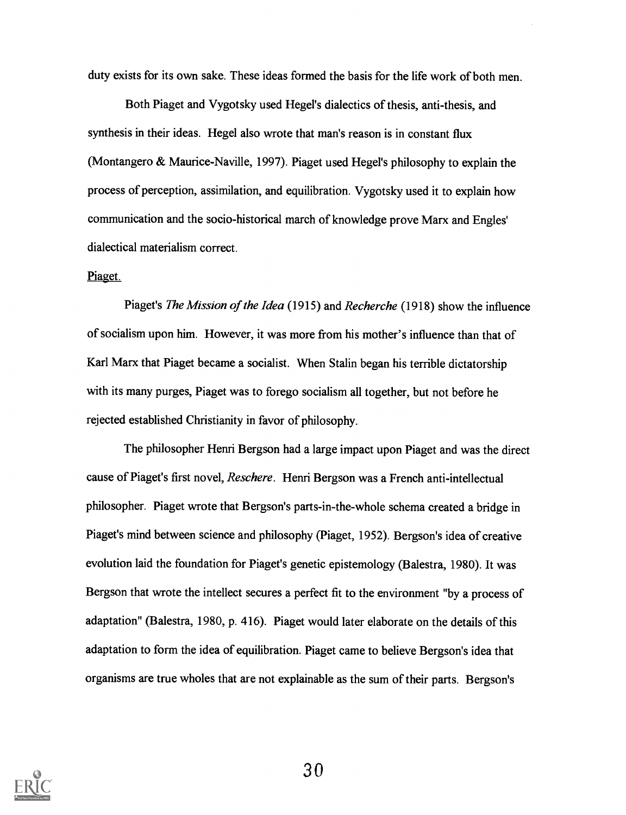duty exists for its own sake. These ideas formed the basis for the life work of both men.

Both Piaget and Vygotsky used Hegel's dialectics of thesis, anti-thesis, and synthesis in their ideas. Hegel also wrote that man's reason is in constant flux (Montangero & Maurice-Naville, 1997). Piaget used Hegel's philosophy to explain the process of perception, assimilation, and equilibration. Vygotsky used it to explain how communication and the socio-historical march of knowledge prove Marx and Engles' dialectical materialism correct.

#### Piaget.

Piaget's The Mission of the Idea (1915) and Recherche (1918) show the influence of socialism upon him. However, it was more from his mother's influence than that of Karl Marx that Piaget became a socialist. When Stalin began his terrible dictatorship with its many purges, Piaget was to forego socialism all together, but not before he rejected established Christianity in favor of philosophy.

The philosopher Henri Bergson had a large impact upon Piaget and was the direct cause of Piaget's first novel, Reschere. Henri Bergson was a French anti-intellectual philosopher. Piaget wrote that Bergson's parts-in-the-whole schema created a bridge in Piaget's mind between science and philosophy (Piaget, 1952). Bergson's idea of creative evolution laid the foundation for Piaget's genetic epistemology (Balestra, 1980). Itwas Bergson that wrote the intellect secures a perfect fit to the environment "by a process of adaptation" (Balestra, 1980, p. 416). Piaget would later elaborate on the details of this adaptation to form the idea of equilibration. Piaget came to believe Bergson's idea that organisms are true wholes that are not explainable as the sum of their parts. Bergson's

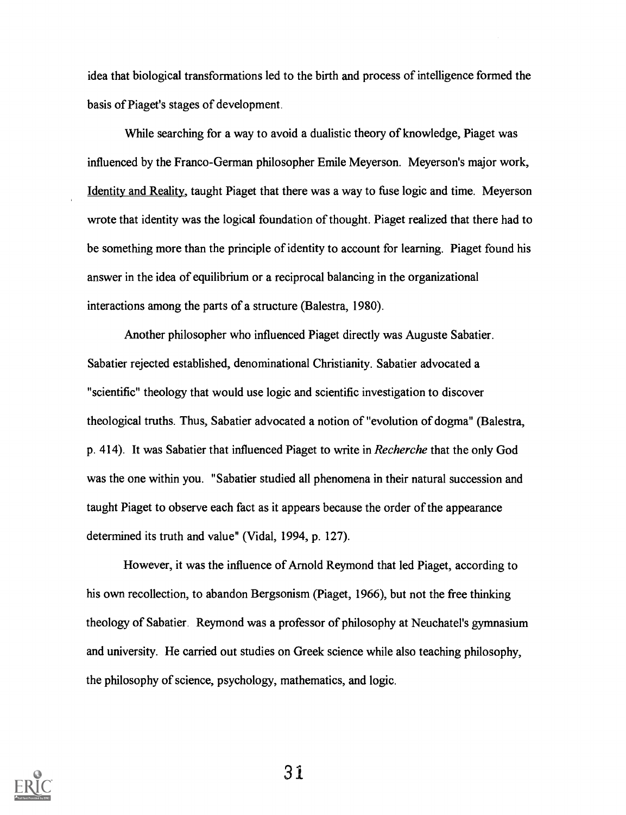idea that biological transformations led to the birth and process of intelligence formed the basis of Piaget's stages of development.

While searching for a way to avoid a dualistic theory of knowledge, Piaget was influenced by the Franco-German philosopher Emile Meyerson. Meyerson's major work, Identity and Reality, taught Piaget that there was a way to fuse logic and time. Meyerson wrote that identity was the logical foundation of thought. Piaget realized that there had to be something more than the principle of identity to account for learning. Piaget found his answer in the idea of equilibrium or a reciprocal balancing in the organizational interactions among the parts of a structure (Balestra, 1980).

Another philosopher who influenced Piaget directly was Auguste Sabatier. Sabatier rejected established, denominational Christianity. Sabatier advocated a "scientific" theology that would use logic and scientific investigation to discover theological truths. Thus, Sabatier advocated a notion of "evolution of dogma" (Balestra, p. 414). It was Sabatier that influenced Piaget to write in Recherche that the only God was the one within you. "Sabatier studied all phenomena in their natural succession and taught Piaget to observe each fact as it appears because the order of the appearance determined its truth and value" (Vidal, 1994, p. 127).

However, it was the influence of Arnold Reymond that led Piaget, according to his own recollection, to abandon Bergsonism (Piaget, 1966), but not the free thinking theology of Sabatier. Reymond was a professor of philosophy at Neuchatel's gymnasium and university. He carried out studies on Greek science while also teaching philosophy, the philosophy of science, psychology, mathematics, and logic.

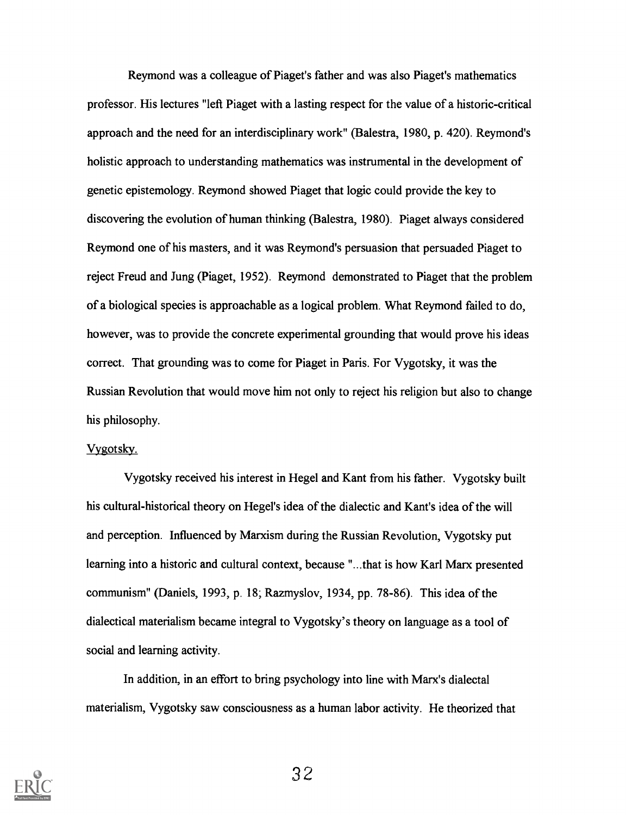Reymond was a colleague of Piaget's father and was also Piaget's mathematics professor. His lectures "left Piaget with a lasting respect for the value of a historic-critical approach and the need for an interdisciplinary work" (Balestra, 1980, p. 420). Reymond's holistic approach to understanding mathematics was instrumental in the development of genetic epistemology. Reymond showed Piaget that logic could provide the key to discovering the evolution of human thinking (Balestra, 1980). Piaget always considered Reymond one of his masters, and it was Reymond's persuasion that persuaded Piaget to reject Freud and Jung (Piaget, 1952). Reymond demonstrated to Piaget that the problem of a biological species is approachable as a logical problem. What Reymond failed to do, however, was to provide the concrete experimental grounding that would prove his ideas correct. That grounding was to come for Piaget in Paris. For Vygotsky, it was the Russian Revolution that would move him not only to reject his religion but also to change his philosophy.

#### Vygotsky.

Vygotsky received his interest in Hegel and Kant from his father. Vygotsky built his cultural-historical theory on Hegel's idea of the dialectic and Kant's idea of the will and perception. Influenced by Marxism during the Russian Revolution, Vygotsky put learning into a historic and cultural context, because "...that is how Karl Marx presented communism" (Daniels, 1993, p. 18; Razmyslov, 1934, pp. 78-86). This idea of the dialectical materialism became integral to Vygotsky's theory on language as a tool of social and learning activity.

In addition, in an effort to bring psychology into line with Marx's dialectal materialism, Vygotsky saw consciousness as a human labor activity. He theorized that

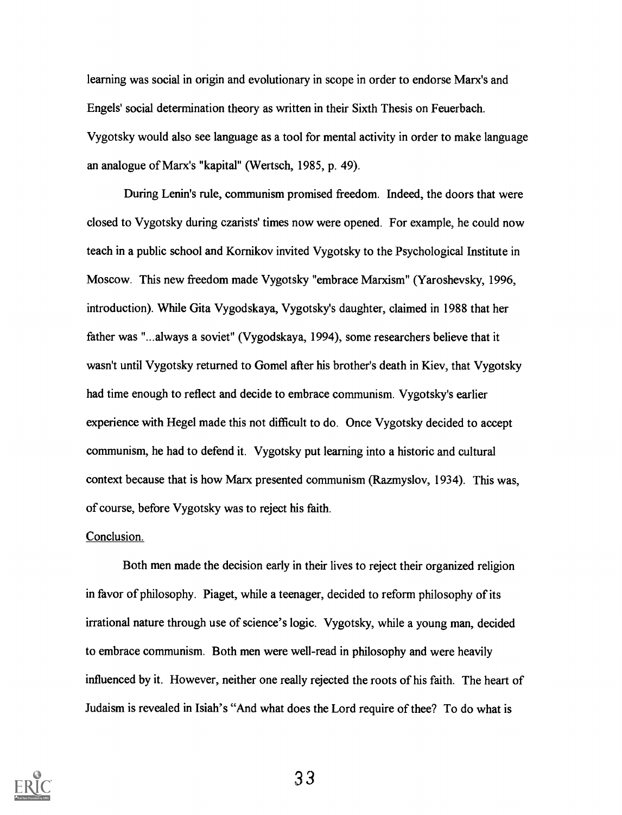learning was social in origin and evolutionary in scope in order to endorse Marx's and Engels' social determination theory as written in their Sixth Thesis on Feuerbach. Vygotsky would also see language as a tool for mental activity in order to make language an analogue of Marx's "kapital" (Wertsch, 1985, p. 49).

During Lenin's rule, communism promised freedom. Indeed, the doors that were closed to Vygotsky during czarists' times now were opened. For example, he could now teach in a public school and Kornikov invited Vygotsky to the Psychological Institute in Moscow. This new freedom made Vygotsky "embrace Marxism" (Yaroshevsky, 1996, introduction). While Gita Vygodskaya, Vygotsky's daughter, claimed in 1988 that her father was "...always a soviet" (Vygodskaya, 1994), some researchers believe that it wasn't until Vygotsky returned to Gomel after his brother's death in Kiev, that Vygotsky had time enough to reflect and decide to embrace communism. Vygotsky's earlier experience with Hegel made this not difficult to do. Once Vygotsky decided to accept communism, he had to defend it. Vygotsky put learning into a historic and cultural context because that is how Marx presented communism (Razmyslov, 1934). This was, of course, before Vygotsky was to reject his faith.

#### Conclusion.

Both men made the decision early in their lives to reject their organized religion in favor of philosophy. Piaget, while a teenager, decided to reform philosophy of its irrational nature through use of science's logic. Vygotsky, while a young man, decided to embrace communism. Both men were well-read in philosophy and were heavily influenced by it. However, neither one really rejected the roots of his faith. The heart of Judaism is revealed in Isiah's "And what does the Lord require of thee? To do what is

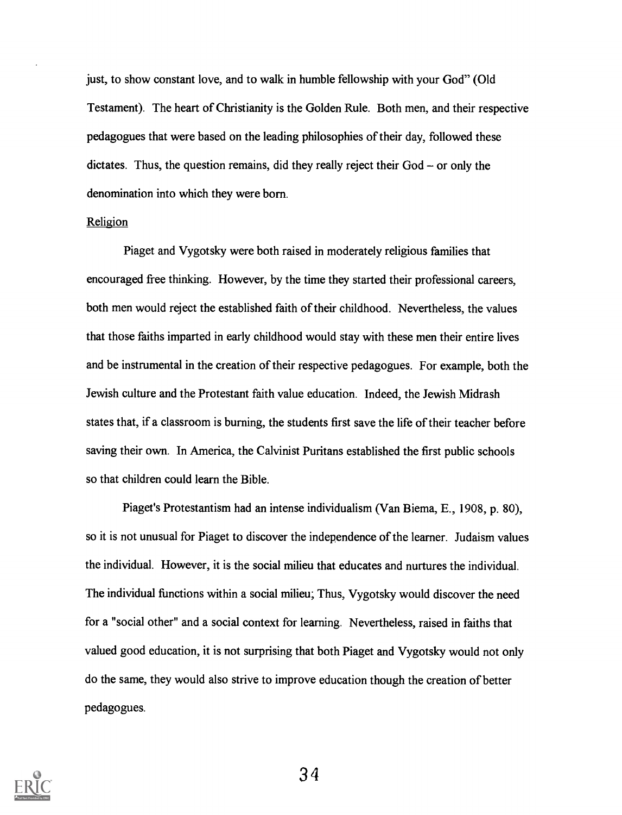just, to show constant love, and to walk in humble fellowship with your God" (Old Testament). The heart of Christianity is the Golden Rule. Both men, and their respective pedagogues that were based on the leading philosophies of their day, followed these dictates. Thus, the question remains, did they really reject their  $God - or only the$ denomination into which they were born.

#### Religion

Piaget and Vygotsky were both raised in moderately religious families that encouraged free thinking. However, by the time they started their professional careers, both men would reject the established faith of their childhood. Nevertheless, the values that those faiths imparted in early childhood would stay with these men their entire lives and be instrumental in the creation of their respective pedagogues. For example, both the Jewish culture and the Protestant faith value education. Indeed, the Jewish Midrash states that, if a classroom is burning, the students first save the life of their teacher before saving their own. In America, the Calvinist Puritans established the first public schools so that children could learn the Bible.

Piaget's Protestantism had an intense individualism (Van Biema, E., 1908, p. 80), so it is not unusual for Piaget to discover the independence of the learner. Judaism values the individual. However, it is the social milieu that educates and nurtures the individual. The individual functions within a social milieu; Thus, Vygotsky would discover the need for a "social other" and a social context for learning. Nevertheless, raised in faiths that valued good education, it is not surprising that both Piaget and Vygotsky would not only do the same, they would also strive to improve education though the creation of better pedagogues.

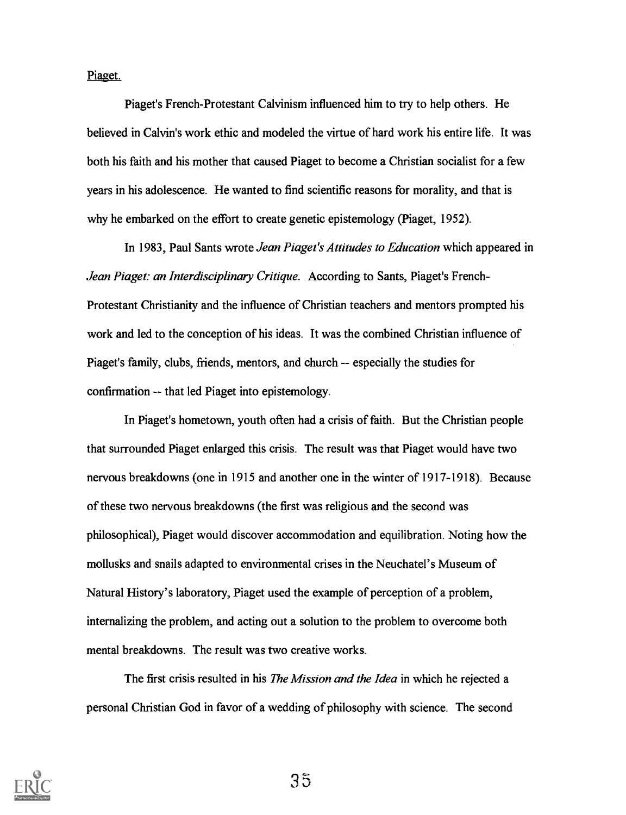Piaget.

Piaget's French-Protestant Calvinism influenced him to try to help others. He believed in Calvin's work ethic and modeled the virtue of hard work his entire life. It was both his faith and his mother that caused Piaget to become a Christian socialist for a few years in his adolescence. He wanted to find scientific reasons for morality, and that is why he embarked on the effort to create genetic epistemology (Piaget, 1952).

In 1983, Paul Sants wrote Jean Piaget's Attitudes to Education which appeared in Jean Piaget: an Interdisciplinary Critique. According to Sants, Piaget's French-Protestant Christianity and the influence of Christian teachers and mentors prompted his work and led to the conception of his ideas. It was the combined Christian influence of Piaget's family, clubs, friends, mentors, and church -- especially the studies for confirmation -- that led Piaget into epistemology.

In Piaget's hometown, youth often had a crisis of faith. But the Christian people that surrounded Piaget enlarged this crisis. The result was that Piaget would have two nervous breakdowns (one in 1915 and another one in the winter of 1917-1918). Because of these two nervous breakdowns (the first was religious and the second was philosophical), Piaget would discover accommodation and equilibration. Noting how the mollusks and snails adapted to environmental crises in the Neuchatel's Museum of Natural History's laboratory, Piaget used the example of perception of a problem, internalizing the problem, and acting out a solution to the problem to overcome both mental breakdowns. The result was two creative works.

The first crisis resulted in his *The Mission and the Idea* in which he rejected a personal Christian God in favor of a wedding of philosophy with science. The second

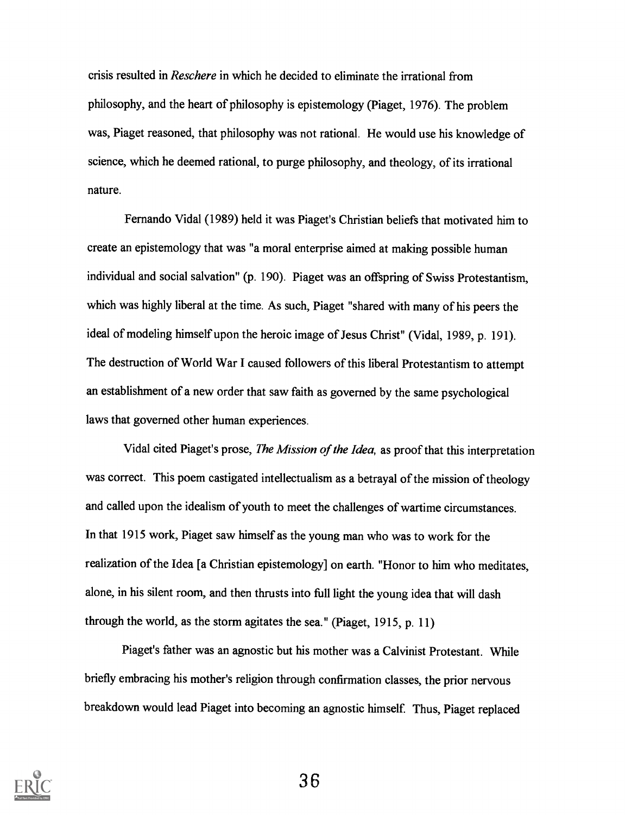crisis resulted in Reschere in which he decided to eliminate the irrational from philosophy, and the heart of philosophy is epistemology (Piaget, 1976). The problem was, Piaget reasoned, that philosophy was not rational. He would use his knowledge of science, which he deemed rational, to purge philosophy, and theology, of its irrational nature.

Fernando Vidal (1989) held it was Piaget's Christian beliefs that motivated him to create an epistemology that was "a moral enterprise aimed at making possible human individual and social salvation" (p. 190). Piaget was an offspring of Swiss Protestantism, which was highly liberal at the time. As such, Piaget "shared with many of his peers the ideal of modeling himself upon the heroic image of Jesus Christ" (Vidal, 1989, p. 191). The destruction of World War I caused followers of this liberal Protestantism to attempt an establishment of a new order that saw faith as governed by the same psychological laws that governed other human experiences.

Vidal cited Piaget's prose, The Mission of the Idea, as proof that this interpretation was correct. This poem castigated intellectualism as a betrayal of the mission of theology and called upon the idealism of youth to meet the challenges of wartime circumstances. In that 1915 work, Piaget saw himself as the young man who was to work for the realization of the Idea [a Christian epistemology] on earth. "Honor to him who meditates, alone, in his silent room, and then thrusts into full light the young idea that will dash through the world, as the storm agitates the sea." (Piaget, 1915, p. 11)

Piaget's father was an agnostic but his mother was a Calvinist Protestant. While briefly embracing his mother's religion through confirmation classes, the prior nervous breakdown would lead Piaget into becoming an agnostic himself. Thus, Piaget replaced

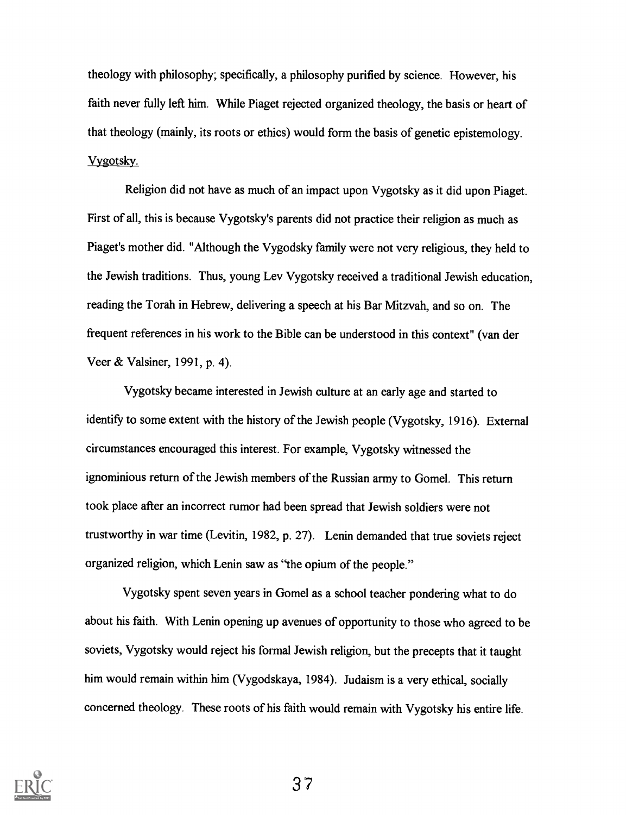theology with philosophy; specifically, a philosophy purified by science. However, his faith never fully left him. While Piaget rejected organized theology, the basis or heart of that theology (mainly, its roots or ethics) would form the basis of genetic epistemology. Vygotsky.

Religion did not have as much of an impact upon Vygotsky as it did upon Piaget. First of all, this is because Vygotsky's parents did not practice their religion as much as Piaget's mother did. "Although the Vygodsky family were not very religious, they held to the Jewish traditions. Thus, young Lev Vygotsky received a traditional Jewish education, reading the Torah in Hebrew, delivering a speech at his Bar Mitzvah, and so on. The frequent references in his work to the Bible can be understood in this context" (van der Veer & Valsiner, 1991, p. 4).

Vygotsky became interested in Jewish culture at an early age and started to identify to some extent with the history of the Jewish people (Vygotsky, 1916). External circumstances encouraged this interest. For example, Vygotsky witnessed the ignominious return of the Jewish members of the Russian army to Gomel. This return took place after an incorrect rumor had been spread that Jewish soldiers were not trustworthy in war time (Levitin, 1982, p. 27). Lenin demanded that true soviets reject organized religion, which Lenin saw as "the opium of the people."

Vygotsky spent seven years in Gomel as a school teacher pondering what to do about his faith. With Lenin opening up avenues of opportunity to those who agreed to be soviets, Vygotsky would reject his formal Jewish religion, but the precepts that it taught him would remain within him (Vygodskaya, 1984). Judaism is a very ethical, socially concerned theology. These roots of his faith would remain with Vygotsky his entire life.

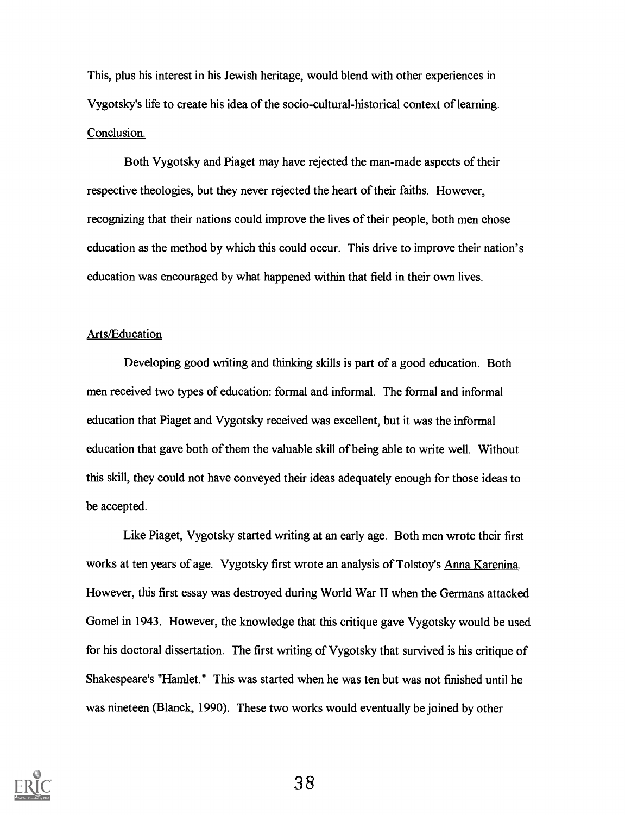This, plus his interest in his Jewish heritage, would blend with other experiences in Vygotsky's life to create his idea of the socio-cultural-historical context of learning. Conclusion.

Both Vygotsky and Piaget may have rejected the man-made aspects of their respective theologies, but they never rejected the heart of their faiths. However, recognizing that their nations could improve the lives of their people, both men chose education as the method by which this could occur. This drive to improve their nation's education was encouraged by what happened within that field in their own lives.

#### Arts/Education

Developing good writing and thinking skills is part of a good education. Both men received two types of education: formal and informal. The formal and informal education that Piaget and Vygotsky received was excellent, but it was the informal education that gave both of them the valuable skill of being able to write well. Without this skill, they could not have conveyed their ideas adequately enough for those ideas to be accepted.

Like Piaget, Vygotsky started writing at an early age. Both men wrote their first works at ten years of age. Vygotsky first wrote an analysis of Tolstoy's Anna Karenina. However, this first essay was destroyed during World War II when the Germans attacked Gomel in 1943. However, the knowledge that this critique gave Vygotsky would be used for his doctoral dissertation. The first writing of Vygotsky that survived is his critique of Shakespeare's "Hamlet." This was started when he was ten but was not finished until he was nineteen (Blanck, 1990). These two works would eventually be joined by other

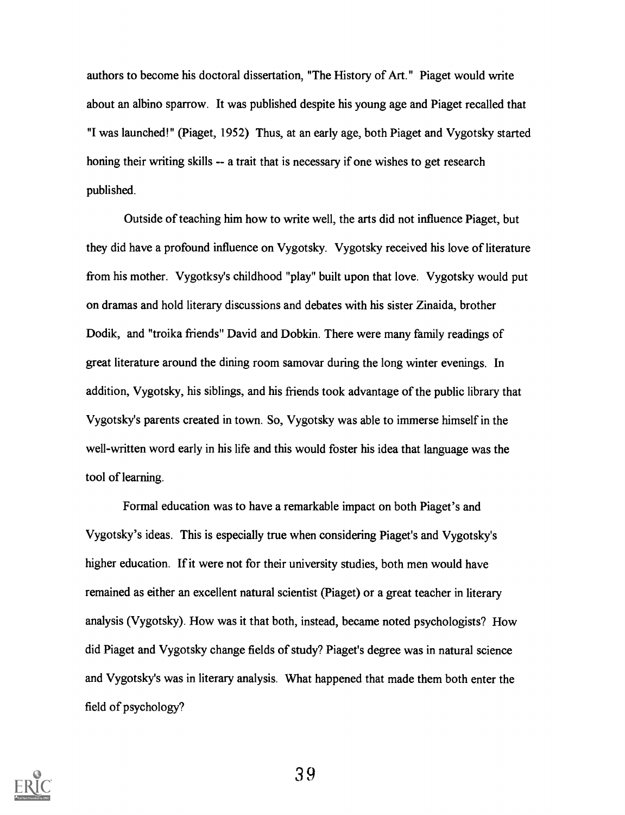authors to become his doctoral dissertation, "The History of Art." Piaget would write about an albino sparrow. It was published despite his young age and Piaget recalled that "I was launched!" (Piaget, 1952) Thus, at an early age, both Piaget and Vygotsky started honing their writing skills -- a trait that is necessary if one wishes to get research published.

Outside of teaching him how to write well, the arts did not influence Piaget, but they did have a profound influence on Vygotsky. Vygotsky received his love of literature from his mother. Vygotksy's childhood "play" built upon that love. Vygotsky would put on dramas and hold literary discussions and debates with his sister Zinaida, brother Dodik, and "troika friends" David and Dobkin. There were many family readings of great literature around the dining room samovar during the long winter evenings. In addition, Vygotsky, his siblings, and his friends took advantage of the public library that Vygotsky's parents created in town. So, Vygotsky was able to immerse himself in the well-written word early in his life and this would foster his idea that language was the tool of learning.

Formal education was to have a remarkable impact on both Piaget's and Vygotsky's ideas. This is especially true when considering Piaget's and Vygotsky's higher education. If it were not for their university studies, both men would have remained as either an excellent natural scientist (Piaget) or a great teacher in literary analysis (Vygotsky). How was it that both, instead, became noted psychologists? How did Piaget and Vygotsky change fields of study? Piaget's degree was in natural science and Vygotsky's was in literary analysis. What happened that made them both enter the field of psychology?

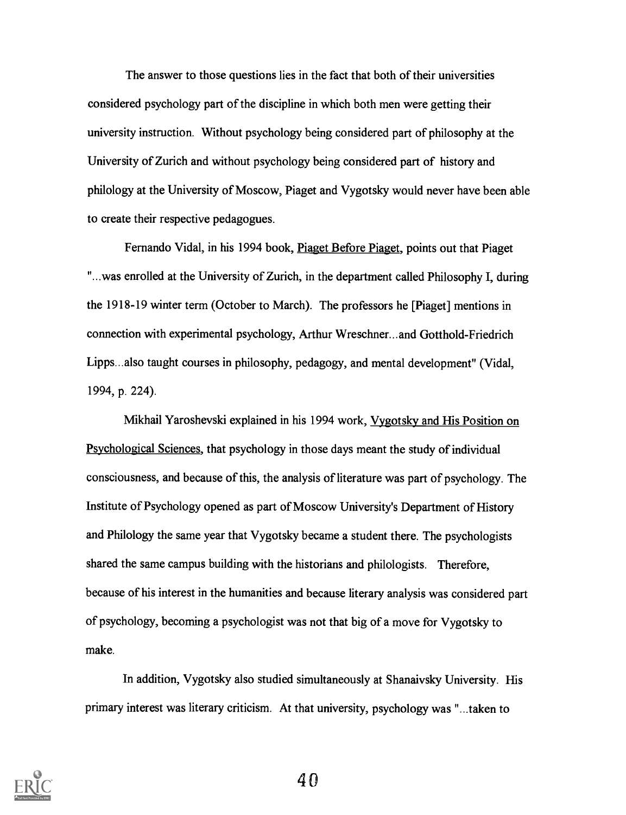The answer to those questions lies in the fact that both of their universities considered psychology part of the discipline in which both men were getting their university instruction. Without psychology being considered part of philosophy at the University of Zurich and without psychology being considered part of history and philology at the University of Moscow, Piaget and Vygotsky would never have been able to create their respective pedagogues.

Fernando Vidal, in his 1994 book, Piaget Before Piaget, points out that Piaget "...was enrolled at the University of Zurich, in the department called Philosophy I, during the 1918-19 winter term (October to March). The professors he [Piaget] mentions in connection with experimental psychology, Arthur Wreschner...and Gotthold-Friedrich Lipps...also taught courses in philosophy, pedagogy, and mental development" (Vidal, 1994, p. 224).

Mikhail Yaroshevski explained in his 1994 work, Vygotsky and His Position on Psychological Sciences, that psychology in those days meant the study of individual consciousness, and because of this, the analysis of literature was part of psychology. The Institute of Psychology opened as part of Moscow University's Department of History and Philology the same year that Vygotsky became a student there. The psychologists shared the same campus building with the historians and philologists. Therefore, because of his interest in the humanities and because literary analysis was considered part of psychology, becoming a psychologist was not that big of a move for Vygotsky to make.

In addition, Vygotsky also studied simultaneously at Shanaivsky University. His primary interest was literary criticism. At that university, psychology was "...taken to

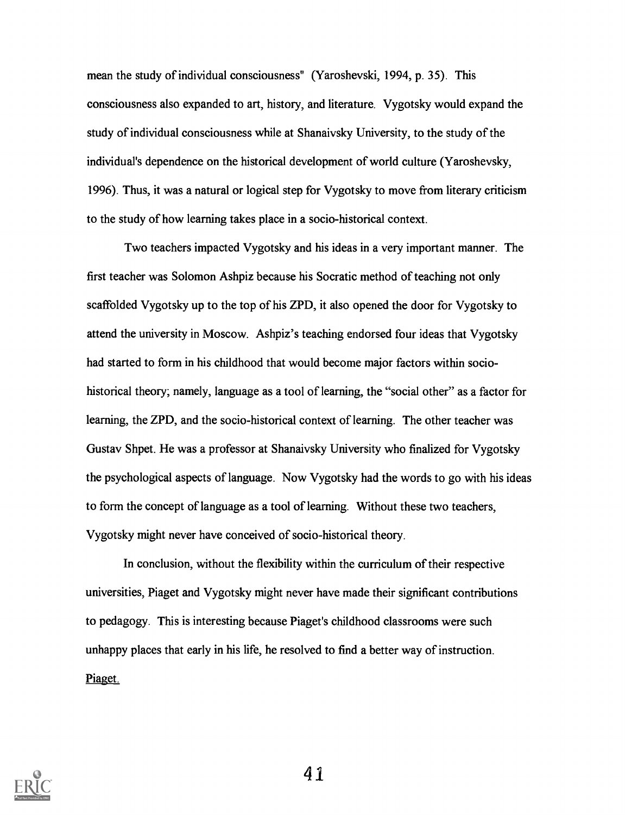mean the study of individual consciousness" (Yaroshevski, 1994, p. 35). This consciousness also expanded to art, history, and literature. Vygotsky would expand the study of individual consciousness while at Shanaivsky University, to the study of the individual's dependence on the historical development of world culture (Yaroshevsky, 1996). Thus, it was a natural or logical step for Vygotsky to move from literary criticism to the study of how learning takes place in a socio-historical context.

Two teachers impacted Vygotsky and his ideas in a very important manner. The first teacher was Solomon Ashpiz because his Socratic method of teaching not only scaffolded Vygotsky up to the top of his ZPD, it also opened the door for Vygotsky to attend the university in Moscow. Ashpiz's teaching endorsed four ideas that Vygotsky had started to form in his childhood that would become major factors within sociohistorical theory; namely, language as a tool of learning, the "social other" as a factor for learning, the ZPD, and the socio-historical context of learning. The other teacher was Gustav Shpet. He was a professor at Shanaivsky University who finalized for Vygotsky the psychological aspects of language. Now Vygotsky had the words to go with his ideas to form the concept of language as a tool of learning. Without these two teachers, Vygotsky might never have conceived of socio-historical theory.

In conclusion, without the flexibility within the curriculum of their respective universities, Piaget and Vygotsky might never have made their significant contributions to pedagogy. This is interesting because Piaget's childhood classrooms were such unhappy places that early in his life, he resolved to find a better way of instruction. Piaget.

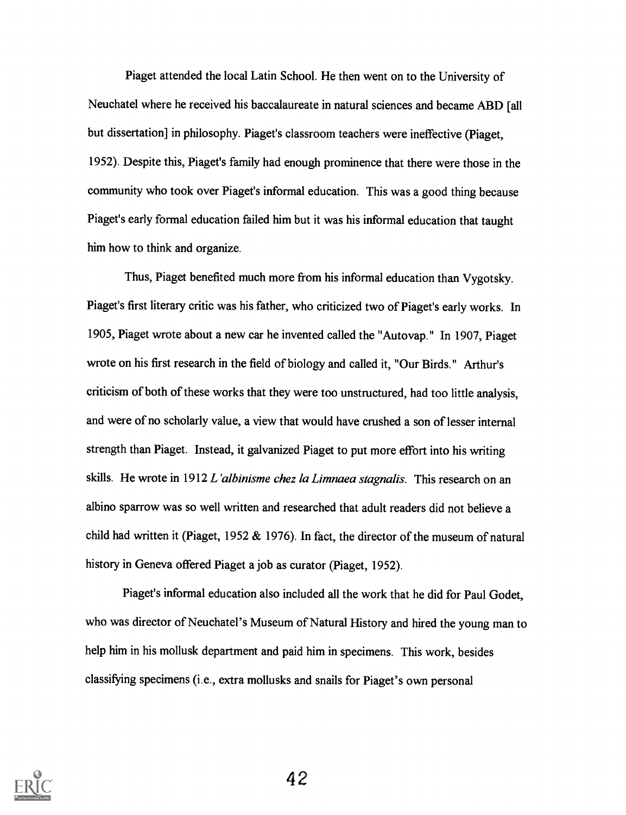Piaget attended the local Latin School. He then went on to the University of Neuchatel where he received his baccalaureate in natural sciences and became ABD [all but dissertation] in philosophy. Piaget's classroom teachers were ineffective (Piaget, 1952). Despite this, Piaget's family had enough prominence that there were those in the community who took over Piaget's informal education. This was a good thing because Piaget's early formal education failed him but it was his informal education that taught him how to think and organize.

Thus, Piaget benefited much more from his informal education than Vygotsky. Piaget's first literary critic was his father, who criticized two of Piaget's early works. In 1905, Piaget wrote about a new car he invented called the "Autovap." In 1907, Piaget wrote on his first research in the field of biology and called it, "Our Birds." Arthur's criticism of both of these works that they were too unstructured, had too little analysis, and were of no scholarly value, a view that would have crushed a son of lesser internal strength than Piaget. Instead, it galvanized Piaget to put more effort into his writing skills. He wrote in 1912 L'albinisme chez la Limnaea stagnalis. This research on an albino sparrow was so well written and researched that adult readers did not believe a child had written it (Piaget, 1952  $& 1976$ ). In fact, the director of the museum of natural history in Geneva offered Piaget a job as curator (Piaget, 1952).

Piaget's informal education also included all the work that he did for Paul Godet, who was director of Neuchatel's Museum of Natural History and hired the young man to help him in his mollusk department and paid him in specimens. This work, besides classifying specimens (i.e., extra mollusks and snails for Piaget's own personal

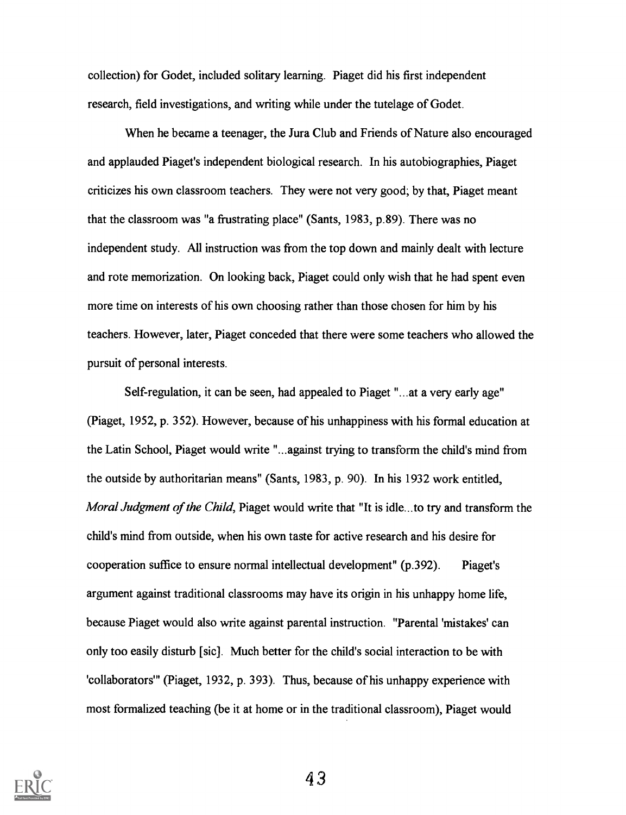collection) for Godet, included solitary learning. Piaget did his first independent research, field investigations, and writing while under the tutelage of Godet.

When he became a teenager, the Jura Club and Friends of Nature also encouraged and applauded Piaget's independent biological research. In his autobiographies, Piaget criticizes his own classroom teachers. They were not very good; by that, Piaget meant that the classroom was "a frustrating place" (Sants, 1983, p.89). There was no independent study. All instruction was from the top down and mainly dealt with lecture and rote memorization. On looking back, Piaget could only wish that he had spent even more time on interests of his own choosing rather than those chosen for him by his teachers. However, later, Piaget conceded that there were some teachers who allowed the pursuit of personal interests.

Self-regulation, it can be seen, had appealed to Piaget "...at a very early age" (Piaget, 1952, p. 352). However, because of his unhappiness with his formal education at the Latin School, Piaget would write "...against trying to transform the child's mind from the outside by authoritarian means" (Sants, 1983, p. 90). In his 1932 work entitled, Moral Judgment of the Child, Piaget would write that "It is idle...to try and transform the child's mind from outside, when his own taste for active research and his desire for cooperation suffice to ensure normal intellectual development" (p.392). Piaget's argument against traditional classrooms may have its origin in his unhappy home life, because Piaget would also write against parental instruction. "Parental 'mistakes' can only too easily disturb [sic]. Much better for the child's social interaction to be with 'collaborators'" (Piaget, 1932, p. 393). Thus, because of his unhappy experience with most formalized teaching (be it at home or in the traditional classroom), Piaget would

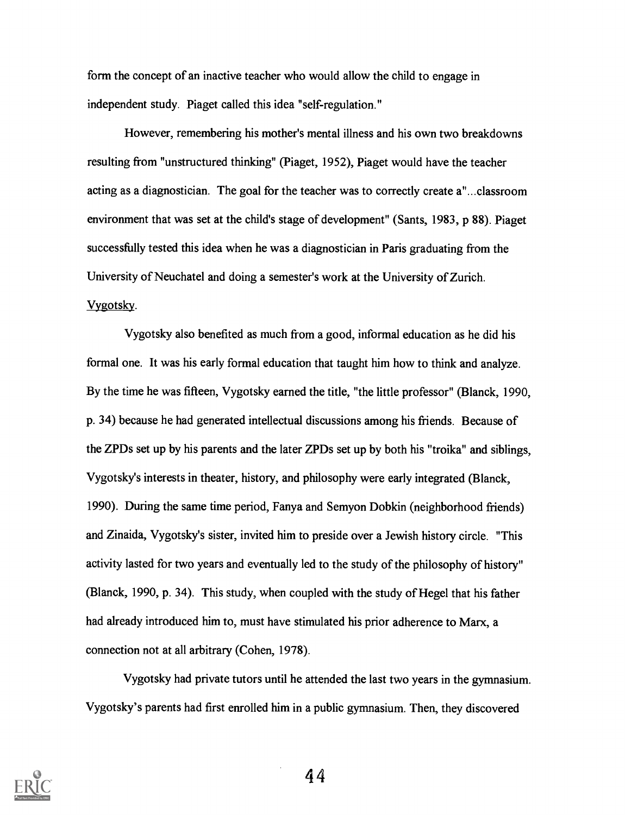form the concept of an inactive teacher who would allow the child to engage in independent study. Piaget called this idea "self-regulation."

However, remembering his mother's mental illness and his own two breakdowns resulting from "unstructured thinking" (Piaget, 1952), Piaget would have the teacher acting as a diagnostician. The goal for the teacher was to correctly create a"...classroom environment that was set at the child's stage of development" (Sants, 1983, p 88). Piaget successfully tested this idea when he was a diagnostician in Paris graduating from the University of Neuchatel and doing a semester's work at the University of Zurich. Vygotsky.

Vygotsky also benefited as much from a good, informal education as he did his formal one. It was his early formal education that taught him how to think and analyze. By the time he was fifteen, Vygotsky earned the title, "the little professor" (Blanck, 1990, p. 34) because he had generated intellectual discussions among his friends. Because of the ZPDs set up by his parents and the later ZPDs set up by both his "troika" and siblings, Vygotsky's interests in theater, history, and philosophy were early integrated (Blanck, 1990). During the same time period, Fanya and Semyon Dobkin (neighborhood friends) and Zinaida, Vygotsky's sister, invited him to preside over a Jewish history circle. "This activity lasted for two years and eventually led to the study of the philosophy of history" (Blanck, 1990, p. 34). This study, when coupled with the study of Hegel that his father had already introduced him to, must have stimulated his prior adherence to Marx, a connection not at all arbitrary (Cohen, 1978).

Vygotsky had private tutors until he attended the last two years in the gymnasium. Vygotsky's parents had first enrolled him in a public gymnasium. Then, they discovered

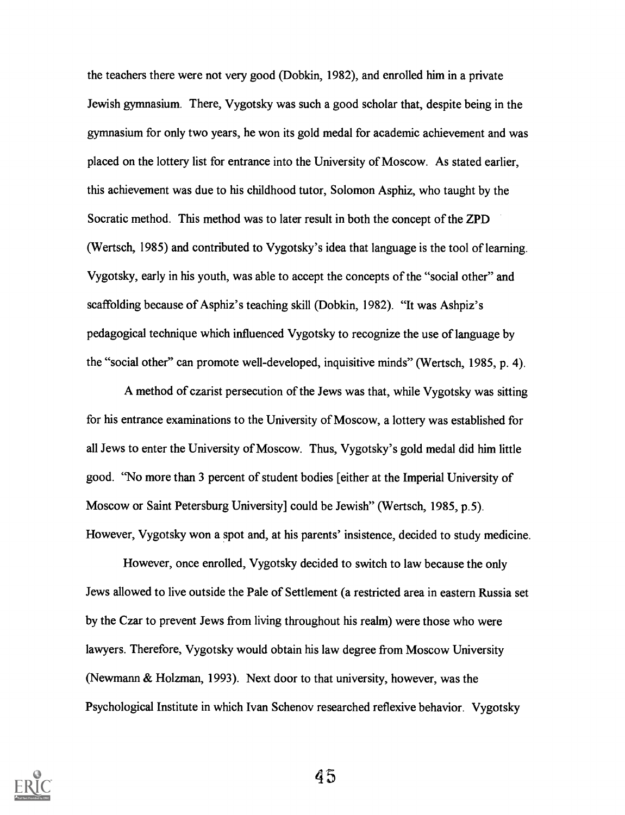the teachers there were not very good (Dobkin, 1982), and enrolled him in a private Jewish gymnasium. There, Vygotsky was such a good scholar that, despite being in the gymnasium for only two years, he won its gold medal for academic achievement and was placed on the lottery list for entrance into the University of Moscow. As stated earlier, this achievement was due to his childhood tutor, Solomon Asphiz, who taught by the Socratic method. This method was to later result in both the concept of the ZPD (Wertsch, 1985) and contributed to Vygotsky's idea that language is the tool of learning. Vygotsky, early in his youth, was able to accept the concepts of the "social other" and scaffolding because of Asphiz's teaching skill (Dobkin, 1982). "It was Ashpiz's pedagogical technique which influenced Vygotsky to recognize the use of language by the "social other" can promote well-developed, inquisitive minds" (Wertsch, 1985, p. 4).

A method of czarist persecution of the Jews was that, while Vygotsky was sitting for his entrance examinations to the University of Moscow, a lottery was established for all Jews to enter the University of Moscow. Thus, Vygotsky's gold medal did him little good. "No more than 3 percent of student bodies [either at the Imperial University of Moscow or Saint Petersburg University] could be Jewish" (Wertsch, 1985, p.5). However, Vygotsky won a spot and, at his parents' insistence, decided to study medicine.

However, once enrolled, Vygotsky decided to switch to law because the only Jews allowed to live outside the Pale of Settlement (a restricted area in eastern Russia set by the Czar to prevent Jews from living throughout his realm) were those who were lawyers. Therefore, Vygotsky would obtain his law degree from Moscow University (Newmann & Holzman, 1993). Next door to that university, however, was the Psychological Institute in which Ivan Schenov researched reflexive behavior. Vygotsky

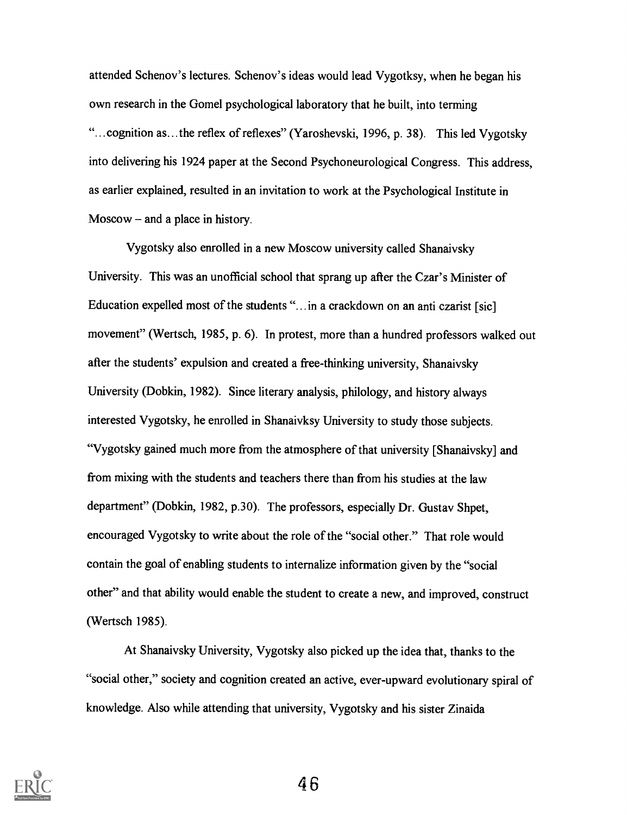attended Schenov's lectures. Schenov's ideas would lead Vygotksy, when he began his own research in the Gomel psychological laboratory that he built, into terming "...cognition as...the reflex of reflexes" (Yaroshevski, 1996, p. 38). This led Vygotsky into delivering his 1924 paper at the Second Psychoneurological Congress. This address, as earlier explained, resulted in an invitation to work at the Psychological Institute in  $M$ oscow – and a place in history.

Vygotsky also enrolled in a new Moscow university called Shanaivsky University. This was an unofficial school that sprang up after the Czar's Minister of Education expelled most of the students "...in a crackdown on an anti czarist [sic] movement" (Wertsch, 1985, p. 6). In protest, more than a hundred professors walked out after the students' expulsion and created a free-thinking university, Shanaivsky University (Dobkin, 1982). Since literary analysis, philology, and history always interested Vygotsky, he enrolled in Shanaivksy University to study those subjects. "Vygotsky gained much more from the atmosphere of that university [Shanaivsky] and from mixing with the students and teachers there than from his studies at the law department" (Dobkin, 1982, p.30). The professors, especially Dr. Gustav Shpet, encouraged Vygotsky to write about the role of the "social other." That role would contain the goal of enabling students to internalize information given by the "social other" and that ability would enable the student to create a new, and improved, construct (Wertsch 1985).

At Shanaivsky University, Vygotsky also picked up the idea that, thanks to the "social other," society and cognition created an active, ever-upward evolutionary spiral of knowledge. Also while attending that university, Vygotsky and his sister Zinaida

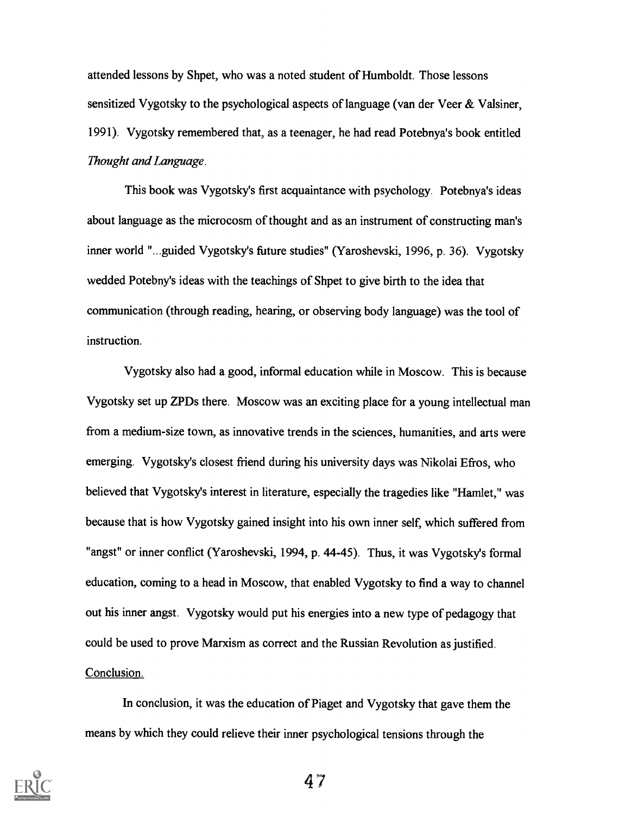attended lessons by Shpet, who was a noted student of Humboldt. Those lessons sensitized Vygotsky to the psychological aspects of language (van der Veer  $\&$  Valsiner, 1991). Vygotsky remembered that, as a teenager, he had read Potebnya's book entitled Thought and Language.

This book was Vygotsky's first acquaintance with psychology. Potebnya's ideas about language as the microcosm of thought and as an instrument of constructing man's inner world "...guided Vygotsky's future studies" (Yaroshevski, 1996, p. 36). Vygotsky wedded Potebny's ideas with the teachings of Shpet to give birth to the idea that communication (through reading, hearing, or observing body language) was the tool of instruction.

Vygotsky also had a good, informal education while in Moscow. This is because Vygotsky set up ZPDs there. Moscow was an exciting place for a young intellectual man from a medium-size town, as innovative trends in the sciences, humanities, and arts were emerging. Vygotsky's closest friend during his university days was Nikolai Efros, who believed that Vygotsky's interest in literature, especially the tragedies like "Hamlet," was because that is how Vygotsky gained insight into his own inner self, which suffered from "angst" or inner conflict (Yaroshevski, 1994, p. 44-45). Thus, it was Vygotsky's formal education, coming to a head in Moscow, that enabled Vygotsky to find a way to channel out his inner angst. Vygotsky would put his energies into a new type of pedagogy that could be used to prove Marxism as correct and the Russian Revolution as justified. Conclusion.

In conclusion, it was the education of Piaget and Vygotsky that gave them the means by which they could relieve their inner psychological tensions through the

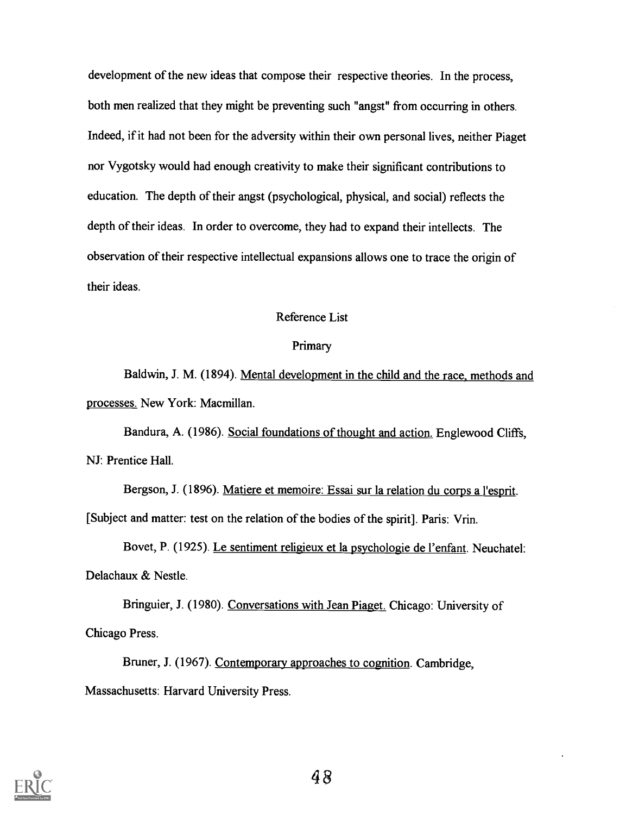development of the new ideas that compose their respective theories. In the process, both men realized that they might be preventing such "angst" from occurring in others. Indeed, if it had not been for the adversity within their own personal lives, neither Piaget nor Vygotsky would had enough creativity to make their significant contributions to education. The depth of their angst (psychological, physical, and social) reflects the depth of their ideas. In order to overcome, they had to expand their intellects. The observation of their respective intellectual expansions allows one to trace the origin of their ideas.

#### Reference List

#### Primary

Baldwin, J. M. (1894). Mental development in the child and the race, methods and processes. New York: Macmillan.

Bandura, A. (1986). Social foundations of thought and action. Englewood Cliffs, NJ: Prentice Hall.

Bergson, J. (1896). Matiere et memoire: Essai sur la relation du corps a l'esprit. [Subject and matter: test on the relation of the bodies of the spirit]. Paris: Vrin.

Bovet, P. (1925). Le sentiment religieux et la psychologie de l'enfant. Neuchatel: Delachaux & Nestle.

Bringuier, J. (1980). Conversations with Jean Piaget. Chicago: University of Chicago Press.

Bruner, J. (1967). Contemporary approaches to cognition. Cambridge, Massachusetts: Harvard University Press.

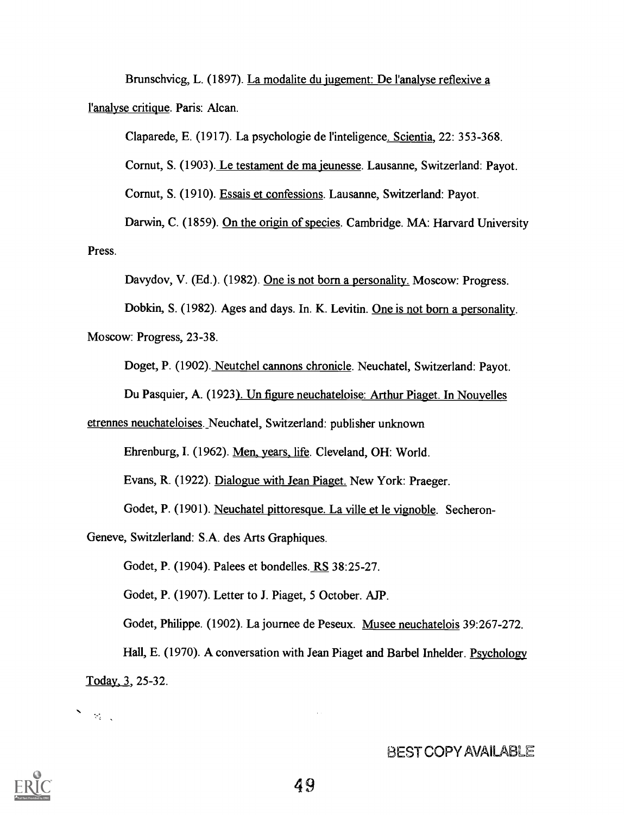Brunschvicg, L. (1897). La modalite du jugement: De l'analyse reflexive a l'analyse critique. Paris: Alcan.

Claparede, E. (1917). La psychologie de l'inteligence. Scientia, 22: 353-368. Cornut, S. (1903). Le testament de ma jeunesse. Lausanne, Switzerland: Payot. Cornut, S. (1910). Essais et confessions. Lausanne, Switzerland: Payot. Darwin, C. (1859). On the origin of species. Cambridge. MA: Harvard University

Press.

Davydov, V. (Ed.). (1982). One is not born a personality. Moscow: Progress.

Dobkin, S. (1982). Ages and days. In. K. Levitin. One is not born a personality.

Moscow: Progress, 23-38.

Doget, P. (1902). Neutchel cannons chronicle. Neuchatel, Switzerland: Payot.

Du Pasquier, A. (1923). Un figure neuchateloise: Arthur Piaget. In Nouvelles

etrennes neuchateloises. Neuchatel, Switzerland: publisher unknown

Ehrenburg, I. (1962). Men, years, life. Cleveland, OH: World.

Evans, R. (1922). Dialogue with Jean Piaget. New York: Praeger.

Godet, P. (1901). Neuchatel pittoresque. La ville et le vignoble. Secheron-

Geneve, Switzlerland: S.A. des Arts Graphiques.

Godet, P. (1904). Palees et bondelles. RS 38:25-27.

Godet, P. (1907). Letter to J. Piaget, 5 October. AJP.

Godet, Philippe. (1902). La journee de Peseux. Musee neuchatelois 39:267-272.

Hall, E. (1970). A conversation with Jean Piaget and Barbel Inhelder. Psychology Today, 3, 25-32.

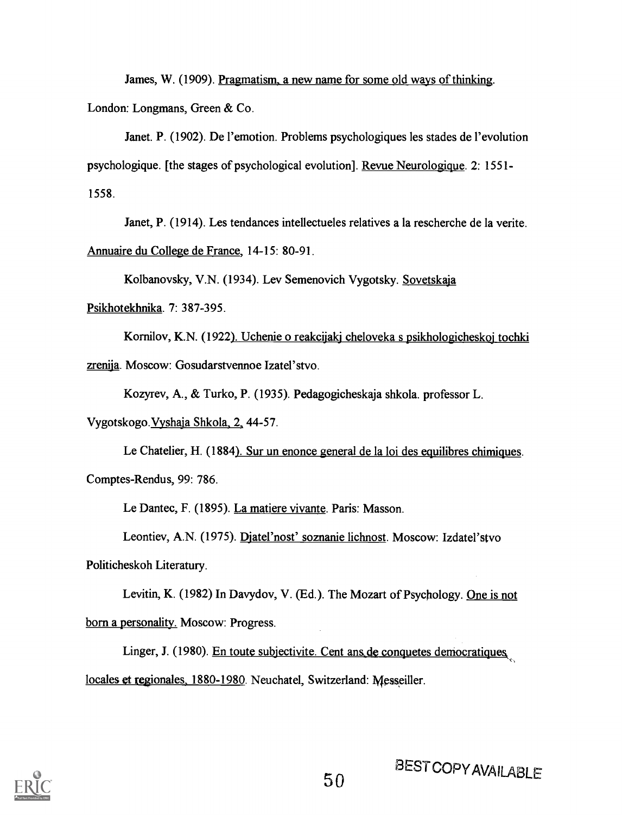James, W. (1909). Pragmatism. a new name for some old ways of thinking. London: Longmans, Green & Co.

Janet. P. (1902). De l'emotion. Problems psychologiques les stades de l'evolution psychologique. [the stages of psychological evolution]. Revue Neurologique. 2: 1551- 1558.

Janet, P. (1914). Les tendances intellectueles relatives a la rescherche de la verite. Annuaire du College de France, 14-15: 80-91.

Kolbanovsky, V.N. (1934). Lev Semenovich Vygotsky. Sovetskaja

Psikhotekhnika. 7: 387-395.

Kornilov, K.N. (1922). Uchenie o reakcijakj cheloveka s psikhologicheskoj tochki zrenija. Moscow: Gosudarstvennoe Izatel'stvo.

Kozyrev, A., & Turko, P. (1935). Pedagogicheskaja shkola. professor L.

Vygotskogo.Vyshaja Shkola, 2, 44-57.

Le Chatelier, H. (1884). Sur un enonce general de la loi des equilibres chimiques. Comptes-Rendus, 99: 786.

Le Dantec, F. (1895). La matiere vivante. Paris: Masson.

Leontiev, A.N. (1975). Djatel'nost' soznanie lichnost. Moscow: Izdatel'stvo Politicheskoh Literatury.

Levitin, K. (1982) In Davydov, V. (Ed.). The Mozart of Psychology. One is not born a personality. Moscow: Progress.

Linger, J. (1980). En toute subjectivite. Cent ans de conquetes democratiques. locales et regionales. 1880-1980. Neuchatel, Switzerland: Messeiller.

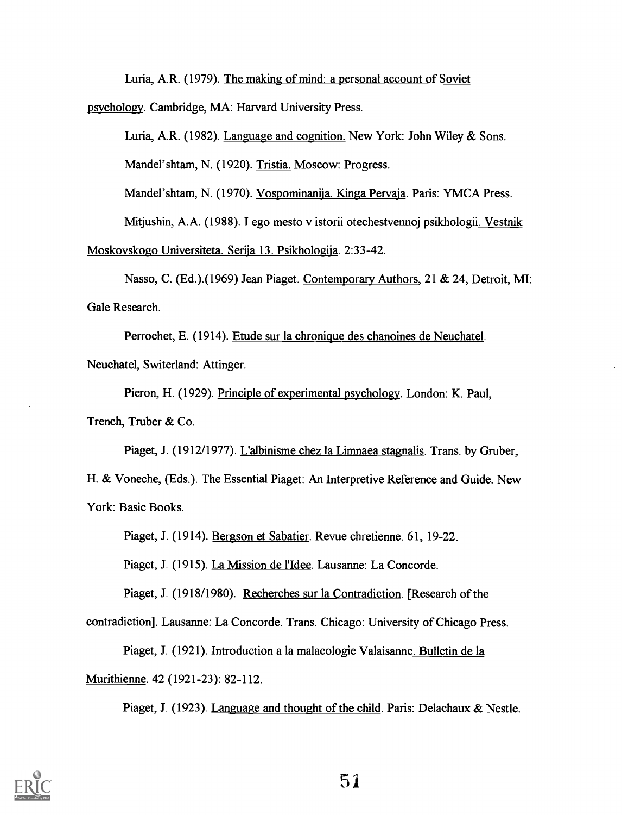Luria, A.R. (1979). The making of mind: a personal account of Soviet

psychology. Cambridge, MA: Harvard University Press.

Luria, A.R. (1982). Language and cognition. New York: John Wiley & Sons.

Mandel'shtam, N. (1920). Tristia. Moscow: Progress.

Mandel'shtam, N. (1970). Vospominanija. Kinga Pervaja. Paris: YMCA Press.

Mitjushin, A.A. (1988). I ego mesto v istorii otechestvennoj psikhologii. Vestnik

Moskovskogo Universiteta. Serija 13. Psikhologija. 2:33-42.

Nasso, C. (Ed.).(1969) Jean Piaget. Contemporary Authors, 21 & 24, Detroit, ME: Gale Research.

Perrochet, E. (1914). Etude sur la chronique des chanoines de Neuchatel. Neuchatel, Switerland: Attinger.

Pieron, H. (1929). Principle of experimental psychology. London: K. Paul,

Trench, Truber & Co.

Piaget, J. (1912/1977). L'albinisme chez la Limnaea stagnalis. Trans. by Gruber, H. & Voneche, (Eds.). The Essential Piaget: An Interpretive Reference and Guide. New York: Basic Books.

Piaget, J. (1914). Bergson et Sabatier. Revue chretienne. 61, 19-22.

Piaget, J. (1915). La Mission de l'Idee. Lausanne: La Concorde.

Piaget, J. (1918/1980). Recherches sur la Contradiction. [Research of the

contradiction]. Lausanne: La Concorde. Trans. Chicago: University of Chicago Press.

Piaget, J. (1921). Introduction a la malacologie Valaisanne. Bulletin de la

Murithienne. 42 (1921-23): 82-112.

Piaget, J. (1923). Language and thought of the child. Paris: Delachaux & Nestle.

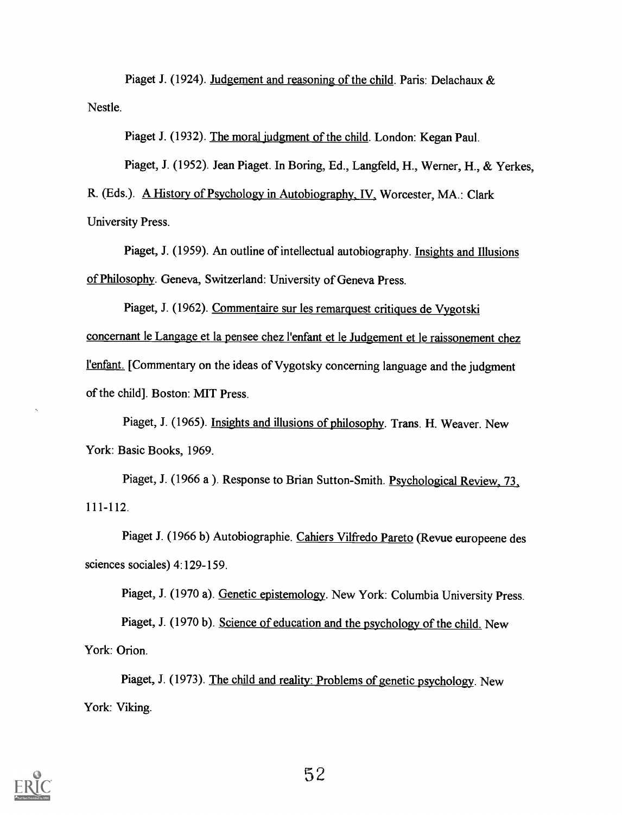Piaget J. (1924). Judgement and reasoning of the child. Paris: Delachaux & Nestle.

Piaget J. (1932). The moral judgment of the child. London: Kegan Paul.

Piaget, J. (1952). Jean Piaget. In Boring, Ed., Langfeld, H., Werner, H., & Yerkes,

R. (Eds.). A History of Psychology in Autobiography, IV, Worcester, MA.: Clark University Press.

Piaget, J. (1959). An outline of intellectual autobiography. Insights and Illusions of Philosophy. Geneva, Switzerland: University of Geneva Press.

Piaget, J. (1962). Commentaire sur les remarquest critiques de Vygotski concernant le Langage et la pensee chez l'enfant et le Judgement et le raissonement chez l'enfant. [Commentary on the ideas of Vygotsky concerning language and the judgment of the child]. Boston: MIT Press.

Piaget, J. (1965). Insights and illusions of philosophy. Trans. H. Weaver. New York: Basic Books, 1969.

Piaget, J. (1966 a ). Response to Brian Sutton-Smith. Psychological Review, 73, 111-112.

Piaget J. (1966 b) Autobiographie. Cahiers Vilfredo Pareto (Revue europeene des sciences sociales) 4:129-159.

Piaget, J. (1970 a). Genetic epistemology. New York: Columbia University Press. Piaget, J. (1970 b). Science of education and the psychology of the child. New York: Orion.

Piaget, J. (1973). The child and reality: Problems of genetic psychology. New York: Viking.

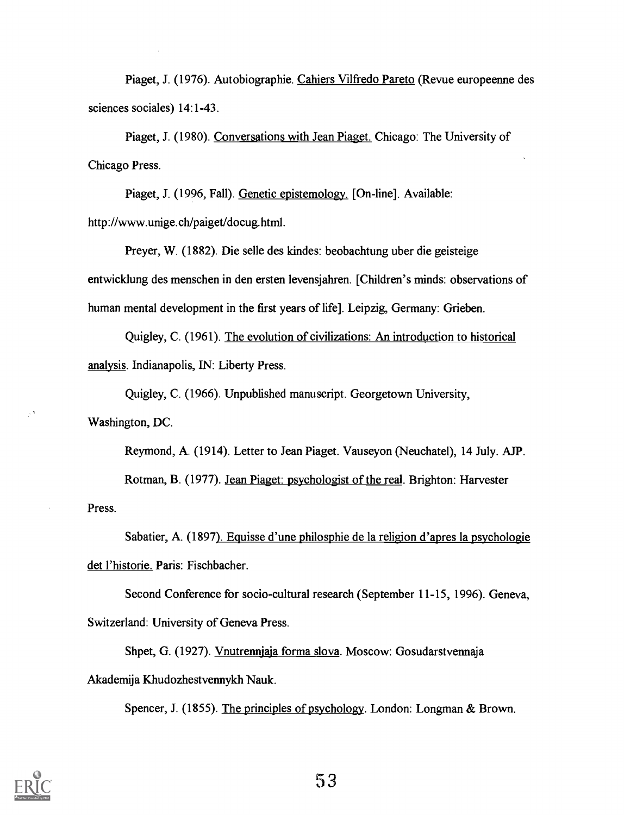Piaget, J. (1976). Autobiographic. Cahiers Vilfredo Pareto (Revue europeenne des sciences sociales) 14:1-43.

Piaget, J. (1980). Conversations with Jean Piaget. Chicago: The University of Chicago Press.

Piaget, J. (1996, Fall). Genetic epistemology. [On-line]. Available: http://www.unige.ch/paiget/docug.html.

Preyer, W. (1882). Die selle des kindes: beobachtung uber die geisteige entwicklung des menschen in den ersten levensjahren. [Children's minds: observations of human mental development in the first years of life]. Leipzig, Germany: Grieben.

Quigley, C. (1961). The evolution of civilizations: An introduction to historical analysis. Indianapolis, IN: Liberty Press.

Quigley, C. (1966). Unpublished manuscript. Georgetown University, Washington, DC.

Reymond, A. (1914). Letter to Jean Piaget. Vauseyon (Neuchatel), 14 July. AJP. Rotman, B. (1977). Jean Piaget: psychologist of the real. Brighton: Harvester Press.

Sabatier, A. (1897). Equisse d'une philosphie de la religion d'apres la psychologie det l'historie. Paris: Fischbacher.

Second Conference for socio-cultural research (September 11-15, 1996). Geneva, Switzerland: University of Geneva Press.

Shpet, G. (1927). Vnutrennjaja forma slova. Moscow: Gosudarstvennaja Akademija Khudozhestvennykh Nauk.

Spencer, J. (1855). The principles of psychology. London: Longman & Brown.

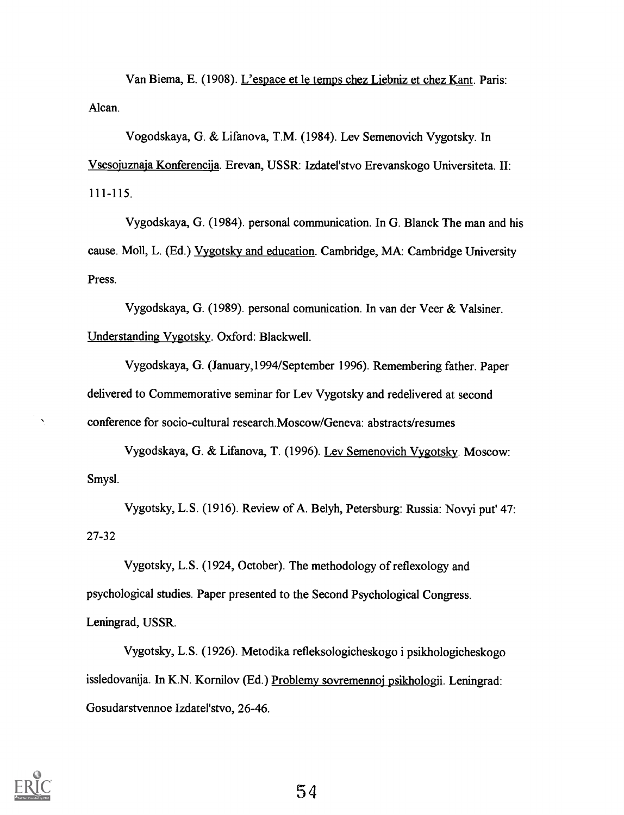Van Biema, E. (1908). L'espace et le temps chez Liebniz et chez Kant. Paris: Alcan.

Vogodskaya, G. & Lifanova, T.M. (1984). Lev Semenovich Vygotsky. In Vsesojuznaja Konferencija. Erevan, USSR: Izdatel'stvo Erevanskogo Universiteta. II: 111-115.

Vygodskaya, G. (1984). personal communication. In G. Blanck The man and his cause. Moll, L. (Ed.) Vygotsky and education. Cambridge, MA: Cambridge University Press.

Vygodskaya, G. (1989). personal comunication. In van der Veer & Valsiner. Understanding Vygotsky. Oxford: Blackwell.

Vygodskaya, G. (January,1994/September 1996). Remembering father. Paper delivered to Commemorative seminar for Lev Vygotsky and redelivered at second conference for socio-cultural research.Moscow/Geneva: abstracts/resumes

Vygodskaya, G. & Lifanova, T. (1996). Lev Semenovich Vygotsky. Moscow: Smysl.

Vygotsky, L.S. (1916). Review of A. Belyh, Petersburg: Russia: Novyi put' 47: 27-32

Vygotsky, L.S. (1924, October). The methodology of reflexology and psychological studies. Paper presented to the Second Psychological Congress. Leningrad, USSR.

Vygotsky, L.S. (1926). Metodika refleksologicheskogo i psikhologicheskogo issledovanija. In K.N. Kornilov (Ed.) Problemy sovremennoj psikhologii. Leningrad: Gosudarstvennoe Izdatel'stvo, 26-46.



 $\bar{\mathbf{x}}$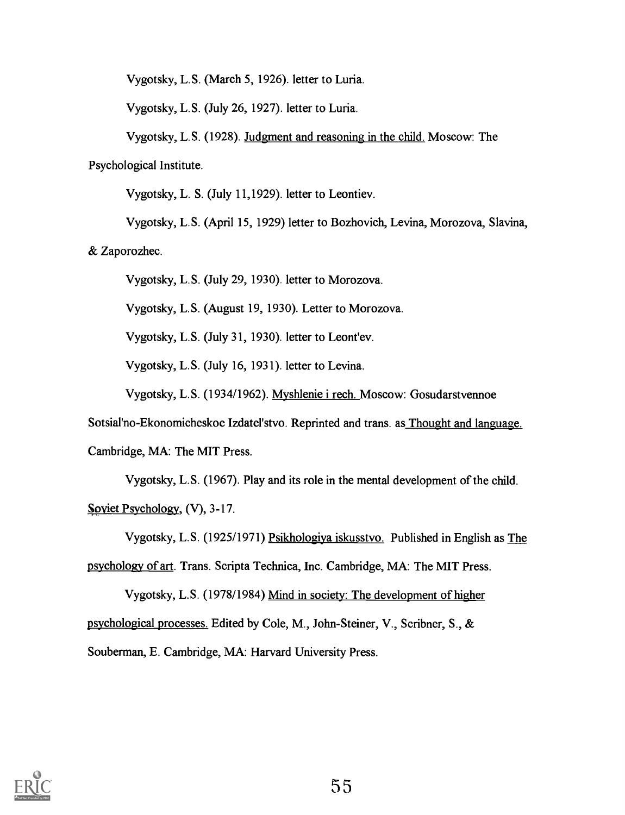Vygotsky, L.S. (March 5, 1926). letter to Luria.

Vygotsky, L.S. (July 26, 1927). letter to Luria.

Vygotsky, L.S. (1928). Judgment and reasoning in the child. Moscow: The Psychological Institute.

Vygotsky, L. S. (July 11,1929). letter to Leontiev.

Vygotsky, L.S. (April 15, 1929) letter to Bozhovich, Levina, Morozova, Slavina,

& Zaporozhec.

Vygotsky, L.S. (July 29, 1930). letter to Morozova.

Vygotsky, L.S. (August 19, 1930). Letter to Morozova.

Vygotsky, L.S. (July 31, 1930). letter to Leont'ev.

Vygotsky, L.S. (July 16, 1931). letter to Levina.

Vygotsky, L.S. (1934/1962). Myshlenie i rech. Moscow: Gosudarstvennoe

Sotsial'no-Ekonomicheskoe Izdatel'stvo. Reprinted and trans. as Thought and language.

Cambridge, MA: The MIT Press.

Vygotsky, L.S. (1967). Play and its role in the mental development of the child. Soviet Psychology, (V), 3-17.

Vygotsky, L.S. (1925/1971) Psikhologiya iskusstvo. Published in English as The psychology of art. Trans. Scripta Technica, Inc. Cambridge, MA: The MIT Press.

Vygotsky, L.S. (1978/1984) Mind in society: The development of higher psychological processes. Edited by Cole, M., John-Steiner, V., Scribner, S., &

Souberman, E. Cambridge, MA: Harvard University Press.

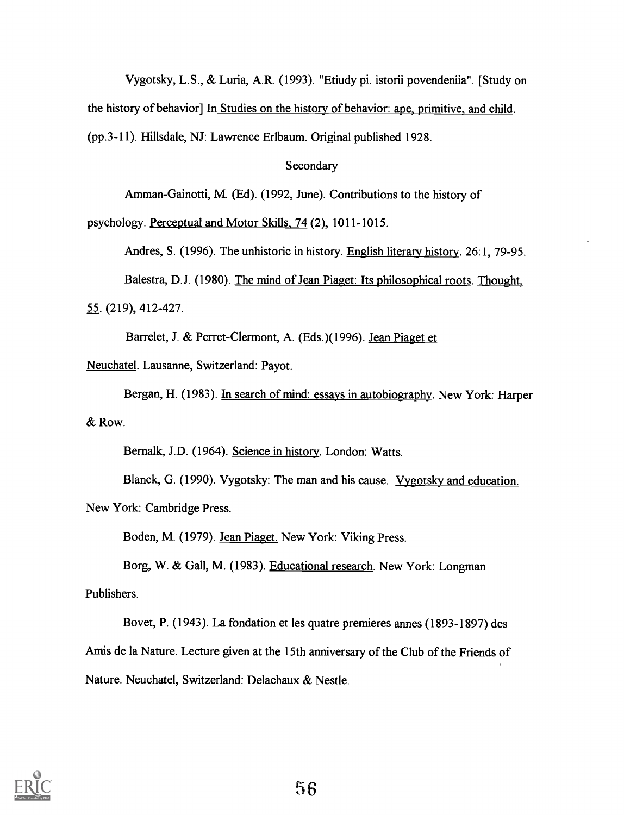Vygotsky, L.S., & Luria, A.R. (1993). "Etiudy pi. istorii povendeniia". [Study on the history of behavior] In Studies on the history of behavior: ape, primitive, and child. (pp.3-11). Hillsdale, NJ: Lawrence Erlbaum. Original published 1928.

Secondary

Amman-Gainotti, M. (Ed). (1992, June). Contributions to the history of

psychology. Perceptual and Motor Skills, 74 (2), 1011-1015.

Andres, S. (1996). The unhistoric in history. English literary history. 26:1, 79-95.

Balestra, D.J. (1980). The mind of Jean Piaget: Its philosophical roots. Thought, 55. (219), 412-427.

Barrelet, J. & Perret-Clermont, A. (Eds.)(1996). Jean Piaget et

Neuchatel. Lausanne, Switzerland: Payot.

Bergan, H. (1983). In search of mind: essays in autobiography. New York: Harper & Row.

Bernalk, J.D. (1964). Science in history. London: Watts.

Blanck, G. (1990). Vygotsky: The man and his cause. Vygotsky and education.

New York: Cambridge Press.

Boden, M. (1979). Jean Piaget. New York: Viking Press.

Borg, W. & Gall, M. (1983). Educational research. New York: Longman Publishers.

Bovet, P. (1943). La fondation et les quatre premieres annes (1893-1897) des Amis de la Nature. Lecture given at the 15th anniversary of the Club of the Friends of Nature. Neuchatel, Switzerland: Delachaux & Nestle.

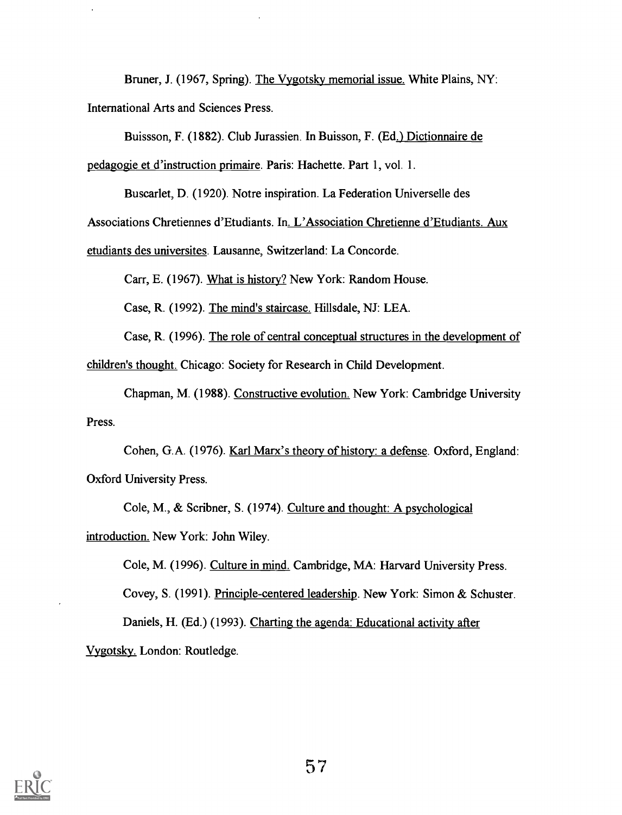Bruner, J. (1967, Spring). The Vygotsky memorial issue. White Plains, NY: International Arts and Sciences Press.

Buissson, F. (1882). Club Jurassien. In Buisson, F. (Ed.) Dictionnaire de

pedagogie et d'instruction primaire. Paris: Hachette. Part 1, vol. 1.

Buscarlet, D. (1920). Notre inspiration. La Federation Universelle des

Associations Chretiennes d'Etudiants. In. L'Association Chretienne d'Etudiants. Aux

etudiants des universites. Lausanne, Switzerland: La Concorde.

Carr, E. (1967). What is history? New York: Random House.

Case, R. (1992). The mind's staircase. Hillsdale, NJ: LEA.

Case, R. (1996). The role of central conceptual structures in the development of

children's thought. Chicago: Society for Research in Child Development.

Chapman, M. (1988). Constructive evolution. New York: Cambridge University Press.

Cohen, G.A. (1976). Karl Marx's theory of history: a defense. Oxford, England: Oxford University Press.

Cole, M., & Scribner, S. (1974). Culture and thought: A psychological introduction. New York: John Wiley.

Cole, M. (1996). Culture in mind. Cambridge, MA: Harvard University Press. Covey, S. (1991). Principle-centered leadership. New York: Simon & Schuster. Daniels, H. (Ed.) (1993). Charting the agenda: Educational activity after Vygotsky. London: Routledge.

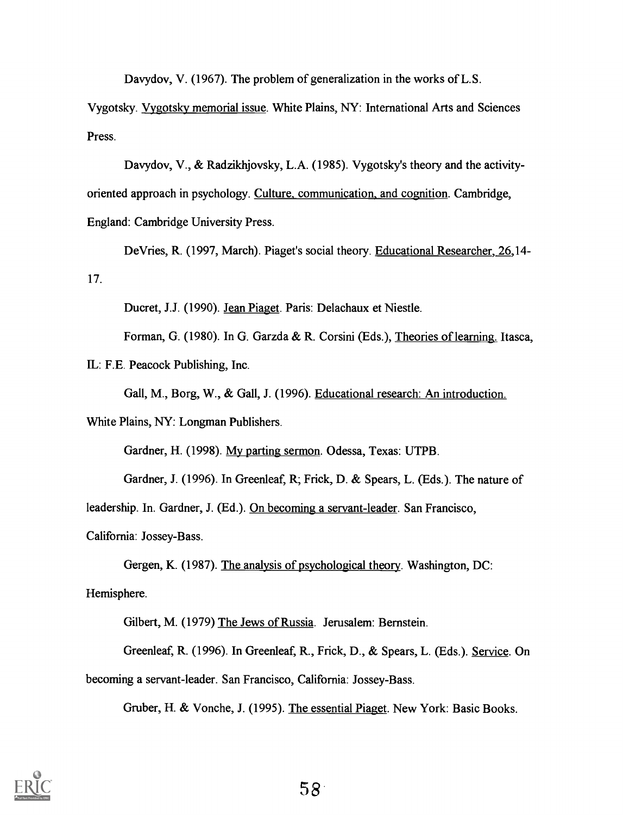Davydov, V. (1967). The problem of generalization in the works of L.S.

Vygotsky. Vygotsky memorial issue. White Plains, NY: International Arts and Sciences Press.

Davydov, V., & Radzikhjovsky, L.A. (1985). Vygotsky's theory and the activityoriented approach in psychology. Culture, communication, and cognition. Cambridge, England: Cambridge University Press.

DeVries, R. (1997, March). Piaget's social theory. Educational Researcher, 26,14- 17.

Ducret, J.J. (1990). Jean Piaget. Paris: Delachaux et Niestle.

Forman, G. (1980). In G. Garzda & R. Corsini (Eds.), Theories of learning. Itasca,

IL: F.E. Peacock Publishing, Inc.

Gall, M., Borg, W., & Gall, J. (1996). Educational research: An introduction.

White Plains, NY: Longman Publishers.

Gardner, H. (1998). My parting sermon. Odessa, Texas: UTPB.

Gardner, J. (1996). In Greenleaf, R; Frick, D. & Spears, L. (Eds.). The nature of

leadership. In. Gardner, J. (Ed.). On becoming a servant-leader. San Francisco,

California: Jossey-Bass.

Gergen, K. (1987). The analysis of psychological theory. Washington, DC: Hemisphere.

Gilbert, M. (1979) The Jews of Russia. Jerusalem: Bernstein.

Greenleaf, R. (1996). In Greenleaf, R., Frick, D., & Spears, L. (Eds.). Service. On becoming a servant-leader. San Francisco, California: Jossey-Bass.

Gruber, H. & Vonche, J. (1995). The essential Piaget. New York: Basic Books.

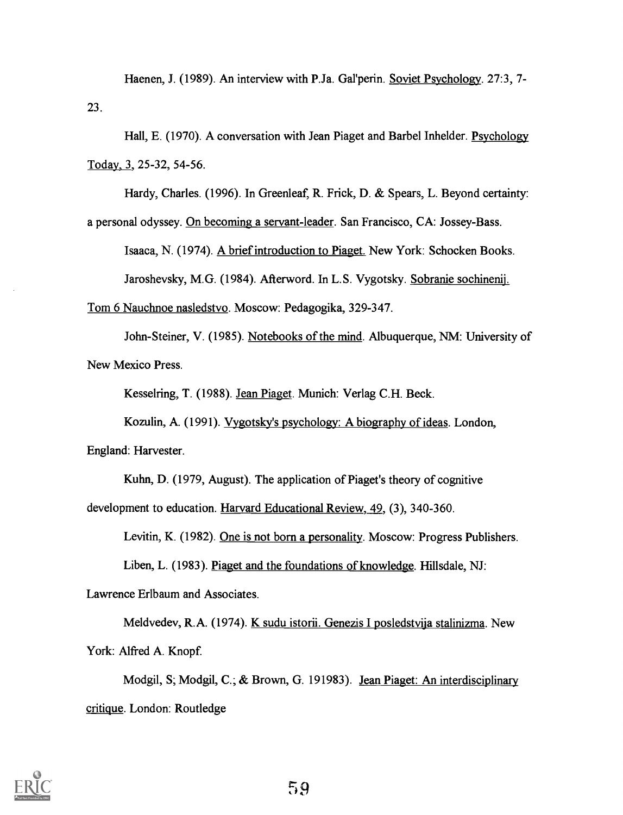Haenen, J. (1989). An interview with P.Ja. Gal'perin. Soviet Psychology. 27:3, 7-23.

Hall, E. (1970). A conversation with Jean Piaget and Barbel Inhelder. Psychology Today, 3, 25-32, 54-56.

Hardy, Charles. (1996). In Greenleaf, R. Frick, D. & Spears, L. Beyond certainty:

a personal odyssey. On becoming a servant-leader. San Francisco, CA: Jossey-Bass.

Isaaca, N. (1974). A brief introduction to Piaget. New York: Schocken Books. Jaroshevsky, M.G. (1984). Afterword. In L.S. Vygotsky. Sobranie sochinenij.

Tom 6 Nauchnoe nasledstvo. Moscow: Pedagogika, 329-347.

John-Steiner, V. (1985). Notebooks of the mind. Albuquerque, NM: University of New Mexico Press.

Kesselring, T. (1988). Jean Piaget. Munich: Verlag C.H. Beck.

Kozulin, A. (1991). Vygotsky's psychology: A biography of ideas. London, England: Harvester.

Kuhn, D. (1979, August). The application of Piaget's theory of cognitive

development to education. Harvard Educational Review, 49, (3), 340-360.

Levitin, K. (1982). One is not born a personality. Moscow: Progress Publishers.

Liben, L. (1983). Piaget and the foundations of knowledge. Hillsdale, NJ:

Lawrence Erlbaum and Associates.

Meldvedev, R.A. (1974). K sudu istorii. Genezis I posledstvija stalinizma. New York: Alfred A. Knopf.

Modgil, S; Modgil, C.; & Brown, G. 191983). Jean Piaget: An interdisciplinary critique. London: Routledge

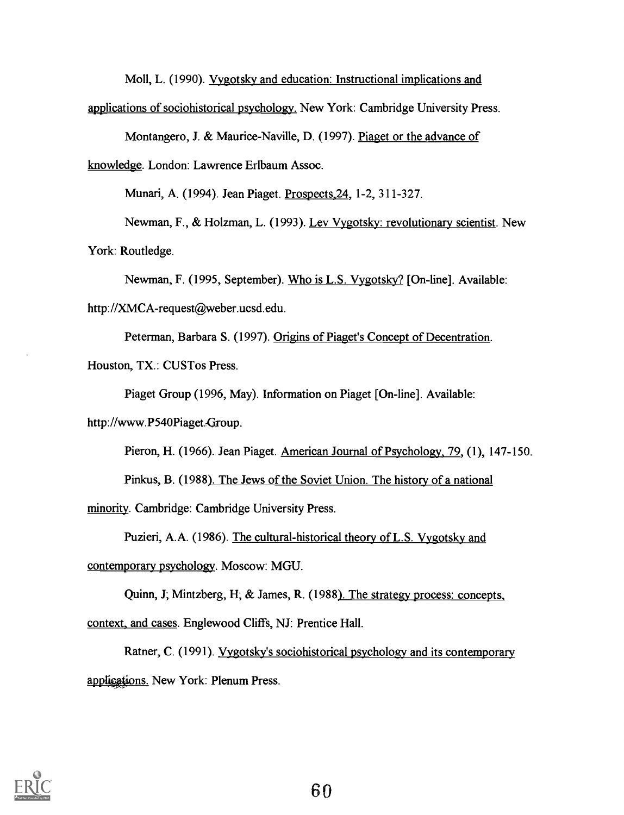Moll, L. (1990). Vygotsky and education: Instructional implications and

applications of sociohistorical psychology. New York: Cambridge University Press.

Montangero, J. & Maurice-Naville, D. (1997). Piaget or the advance of

knowledge. London: Lawrence Erlbaum Assoc.

Munari, A. (1994). Jean Piaget. Prospects,24, 1-2, 311-327.

Newman, F., & Holzman, L. (1993). Lev Vygotsky: revolutionary scientist. New

York: Routledge.

Newman, F. (1995, September). Who is L.S. Vygotsky? [On-line]. Available:

http://XMCA-request@weber.ucsd.edu.

Peterman, Barbara S. (1997). Origins of Piaget's Concept of Decentration.

Houston, TX.: CUSTos Press.

Piaget Group (1996, May). Information on Piaget [On-line]. Available:

http://www.P540Piaget.-Group.

Pieron, H. (1966). Jean Piaget. American Journal of Psychology, 79, (1), 147-150.

Pinkus, B. (1988). The Jews of the Soviet Union. The history of a national minority. Cambridge: Cambridge University Press.

Puzieri, A.A. (1986). The cultural-historical theory of L.S. Vygotsky and

contemporary psychology. Moscow: MGU.

Quinn, J; Mintzberg, H; & James, R. (1988). The strategy process: concepts, context, and cases. Englewood Cliffs, NJ: Prentice Hall.

Ratner, C. (1991). Vygotsky's sociohistorical psychology and its contemporary applications. New York: Plenum Press.

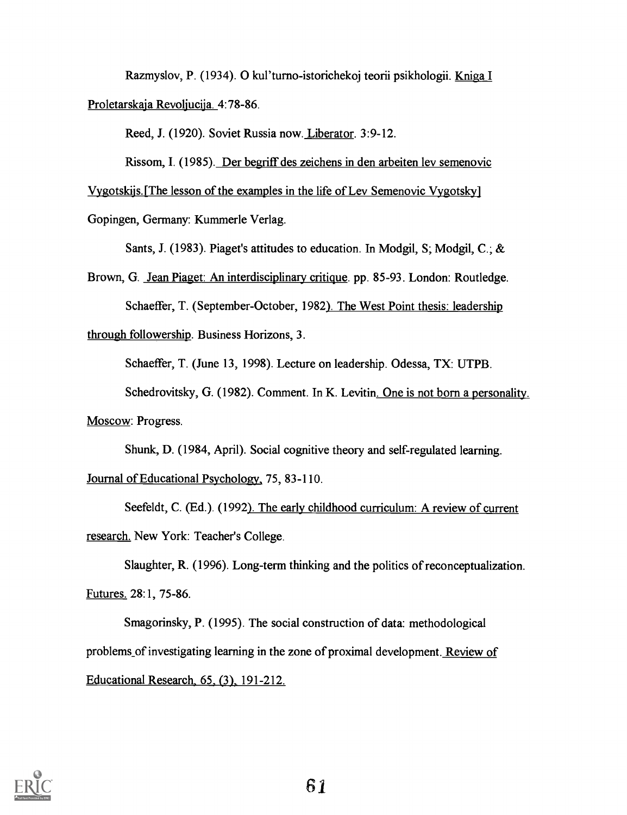Razmyslov, P. (1934). 0 kul'turno- istorichekoj teorii psikhologii. Kniga I Proletarskaja Revoljucija. 4:78-86.

Reed, J. (1920). Soviet Russia now. Liberator. 3:9-12.

Rissom, I. (1985). Der begriff des zeichens in den arbeiten lev semenovic Vygotskijs. [The lesson of the examples in the life of Lev Semenovic Vygotsky]

Gopingen, Germany: Kummerle Verlag.

Sants, J. (1983). Piaget's attitudes to education. In Modgil, S; Modgil, C.; &

Brown, G. Jean Piaget: An interdisciplinary critique. pp. 85-93. London: Routledge.

Schaeffer, T. (September-October, 1982). The West Point thesis: leadership

through followership. Business Horizons, 3.

Schaeffer, T. (June 13, 1998). Lecture on leadership. Odessa, TX: UTPB.

Schedrovitsky, G. (1982). Comment. In K. Levitin. One is not born a personality.

Moscow: Progress.

Shunk, D. (1984, April). Social cognitive theory and self-regulated learning. Journal of Educational Psychology, 75, 83-110.

Seefeldt, C. (Ed.). (1992). The early childhood curriculum: A review of current research. New York: Teacher's College.

Slaughter, R. (1996). Long-term thinking and the politics of reconceptualization. Futures. 28:1, 75-86.

Smagorinsky, P. (1995). The social construction of data: methodological problems\_of investigating learning in the zone of proximal development. Review of Educational Research, 65, (3), 191-212.

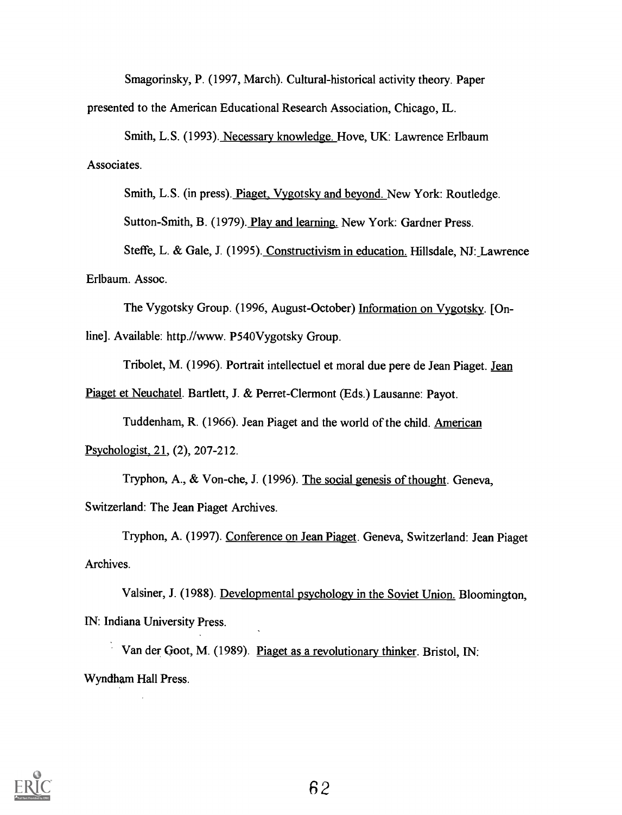Smagorinsky, P. (1997, March). Cultural-historical activity theory. Paper presented to the American Educational Research Association, Chicago, IL.

Smith, L.S. (1993). Necessary knowledge. Hove, UK: Lawrence Erlbaum Associates.

Smith, L.S. (in press). Piaget, Vygotsky and beyond. New York: Routledge. Sutton-Smith, B. (1979). Play and learning. New York: Gardner Press.

Steffe, L. & Gale, J. (1995). Constructivism in education. Hillsdale, NJ: Lawrence Erlbaum. Assoc.

The Vygotsky Group. (1996, August-October) Information on Vygotsky. [Online]. Available: http.//www. P540Vygotsky Group.

Tribolet, M. (1996). Portrait intellectuel et moral due pere de Jean Piaget. Jean

Piaget et Neuchatel. Bartlett, J. & Perret-Clermont (Eds.) Lausanne: Payot.

Tuddenham, R. (1966). Jean Piaget and the world of the child. American Psychologist, 21, (2), 207-212.

Tryphon, A., & Von-che, J. (1996). The social genesis of thought. Geneva,

Switzerland: The Jean Piaget Archives.

Tryphon, A. (1997). Conference on Jean Piaget. Geneva, Switzerland: Jean Piaget Archives.

Valsiner, J. (1988). Developmental psychology in the Soviet Union. Bloomington, IN: Indiana University Press.

Van der Qoot, M. (1989). Piaget as a revolutionary thinker. Bristol, IN: Wyndham Hall Press.

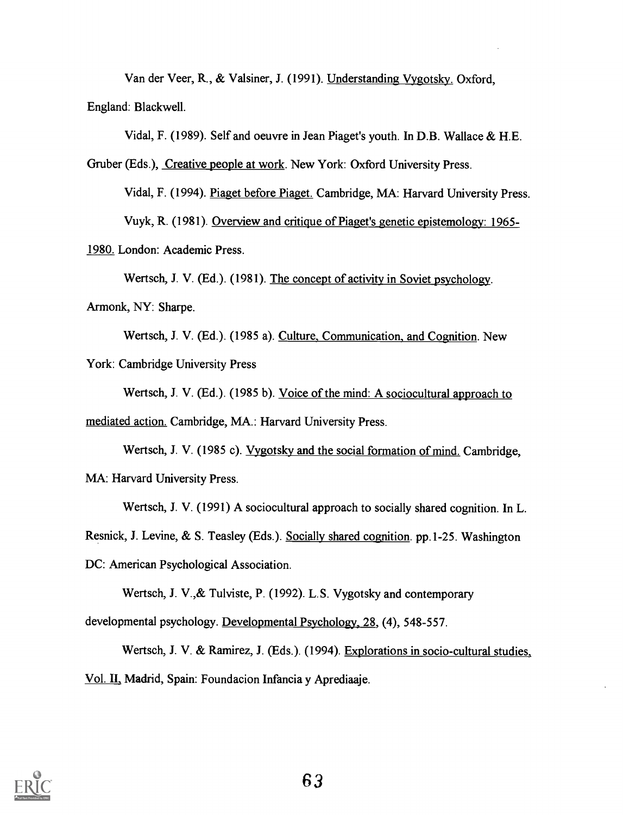Van der Veer, R., & Valsiner, J. (1991). Understanding Vygotsky. Oxford, England: Blackwell.

Vidal, F. (1989). Self and oeuvre in Jean Piaget's youth. In D.B. Wallace & H.E.

Gruber (Eds.), Creative people at work. New York: Oxford University Press.

Vidal, F. (1994). Piaget before Piaget. Cambridge, MA: Harvard University Press. Vuyk, R. (1981). Overview and critique of Piaget's genetic epistemology: 1965-

1980. London: Academic Press.

Wertsch, J. V. (Ed.). (1981). The concept of activity in Soviet psychology. Armonk, NY: Sharpe.

Wertsch, J. V. (Ed.). (1985 a). Culture, Communication, and Cognition. New York: Cambridge University Press

Wertsch, J. V. (Ed.). (1985 b). Voice of the mind: A sociocultural approach to mediated action. Cambridge, MA.: Harvard University Press.

Wertsch, J. V. (1985 c). Vygotsky and the social formation of mind. Cambridge, MA: Harvard University Press.

Wertsch, J. V. (1991) A sociocultural approach to socially shared cognition. In L.

Resnick, J. Levine, & S. Teasley (Eds.). Socially shared cognition. pp.1-25. Washington

DC: American Psychological Association.

Wertsch, J. V.,& Tulviste, P. (1992). L.S. Vygotsky and contemporary

developmental psychology. Developmental Psychology, 28, (4), 548-557.

Wertsch, J. V. & Ramirez, J. (Eds.). (1994). Explorations in socio-cultural studies, Vol. II. Madrid, Spain: Foundacion Infancia y Aprediaaje.

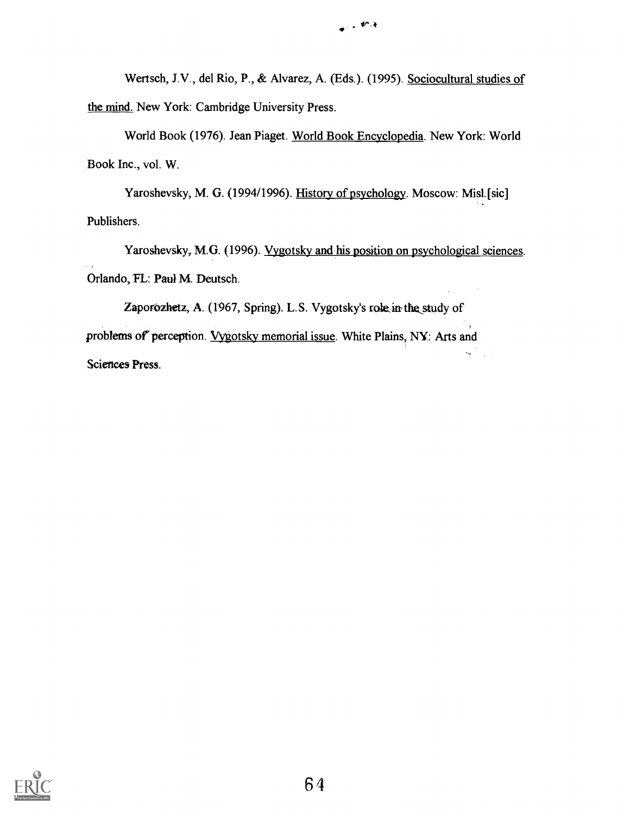Wertsch, J.V., del Rio, P., & Alvarez, A. (Eds.). (1995). Sociocultural studies of the mind. New York: Cambridge University Press.

World Book (1976). Jean Piaget. World Book Encyclopedia. New York: World Book Inc., vol. W.

Yaroshevsky, M. G. (1994/1996). History of psychology. Moscow: Misl.[sic] Publishers.

Yaroshevsky, M.G. (1996). Vygotsky and his position on psychological sciences. Orlando, FL: Paul M. Deutsch.

Zaporozhetz, A. (1967, Spring). L.S. Vygotsky's role in the study of problems of perception. Vygotsky memorial issue. White Plains, NY: Arts and Sciences Press.

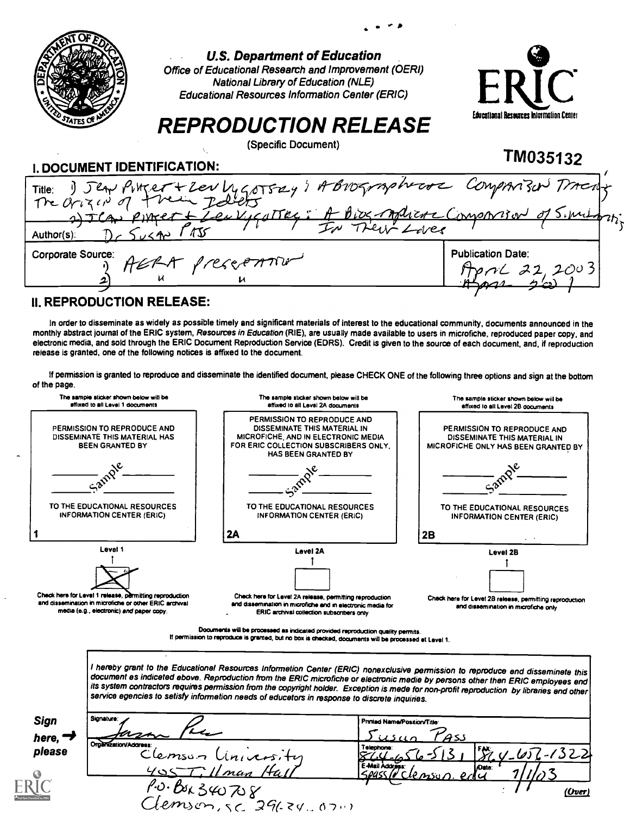|                             | <b>U.S. Department of Education</b><br>Office of Educational Research and Improvement (OERI)<br><b>National Library of Education (NLE)</b><br><b>Educational Resources Information Center (ERIC)</b> | HRIC                                     |  |
|-----------------------------|------------------------------------------------------------------------------------------------------------------------------------------------------------------------------------------------------|------------------------------------------|--|
|                             | <b>REPRODUCTION RELEASE</b>                                                                                                                                                                          | Educational Resources Information Center |  |
| I. DOCUMENT IDENTIFICATION: | (Specific Document)                                                                                                                                                                                  | TM035132                                 |  |
|                             | Title: 1) Jean Pitter + Lev Lygotsay; A Brographical Comparison Tracting<br>2) ICAN PINCET & Leu VIGATTRE : A BIOGRAPhERE COMPRATION of SIMILARY                                                     |                                          |  |
| $Author(s)$ :               |                                                                                                                                                                                                      |                                          |  |
| Corporate Source:           |                                                                                                                                                                                                      | <b>Publication Date:</b><br>22.2003      |  |
|                             |                                                                                                                                                                                                      |                                          |  |

## II. REPRODUCTION RELEASE:

E

In order to disseminate as widely as possible timely and significant materials of interest to the educational community, documents announced in the monthly abstract journal of the ERIC system, Resources in Education (RIE), are usually made available to users in microfiche, reproduced paper copy, and electronic media, and sold through the ERIC Document Reproduction Service (EDRS). Credit is given to the source of each document, and, if reproduction release is granted, one of the following notices is affixed to the document.

If permission is granted to reproduce and disseminate the identified document, please CHECK ONE of the following three options and sign at the bottom of the page.

| PERMISSION TO REPRODUCE AND<br>PERMISSION TO REPRODUCE AND<br>DISSEMINATE THIS MATERIAL IN<br>MICROFICHE, AND IN ELECTRONIC MEDIA<br>DISSEMINATE THIS MATERIAL HAS<br><b>BEEN GRANTED BY</b><br>FOR ERIC COLLECTION SUBSCRIBERS ONLY.<br><b>HAS BEEN GRANTED BY</b><br>$-a^{p}$<br>TO THE EDUCATIONAL RESOURCES<br>TO THE EDUCATIONAL RESOURCES<br><b>INFORMATION CENTER (ERIC)</b><br>INFORMATION CENTER (ERIC)<br>2A<br>2B<br>Level 1<br>Level 2A<br>Level 2B<br>Check here for Level 2A release, permitting reproduction<br>and dissemination in microfiche or other ERIC archival<br>and dissemination in microfiche and in electronic media for<br>media (e.g., electronic) and paper copy.<br>ERIC archival collection subscribers only<br>Documents will be processed as indicated provided reproduction quality permits.<br>If permission to reproduce is granted, but no box is checked, documents will be processed at Level 1.<br>I hereby grant to the Educationel Resources Informetion Center (ERIC) nonexclusive permission to reproduce end disseminete this<br>document es indiceted ebove. Reproduction from the ERIC microfiche or electronic medie by persons other then ERIC employees end<br>its system contractors requires permission from the copyright holder. Exception is mede for non-profit reproduction by libraries end other<br>service egencies to setisfy informetion needs of educetors in response to discrete inquiries.<br>Signature:<br>Printed Name/Position/Title | The sample sticker shown below will be<br>affixed to all Level 1 documents | The sample sticker shown below will be<br>affixed to all Level 2A documents | The sample sticker shown below will be<br>affixed to all Level 2B documents                        |
|-------------------------------------------------------------------------------------------------------------------------------------------------------------------------------------------------------------------------------------------------------------------------------------------------------------------------------------------------------------------------------------------------------------------------------------------------------------------------------------------------------------------------------------------------------------------------------------------------------------------------------------------------------------------------------------------------------------------------------------------------------------------------------------------------------------------------------------------------------------------------------------------------------------------------------------------------------------------------------------------------------------------------------------------------------------------------------------------------------------------------------------------------------------------------------------------------------------------------------------------------------------------------------------------------------------------------------------------------------------------------------------------------------------------------------------------------------------------------------------------------------------|----------------------------------------------------------------------------|-----------------------------------------------------------------------------|----------------------------------------------------------------------------------------------------|
|                                                                                                                                                                                                                                                                                                                                                                                                                                                                                                                                                                                                                                                                                                                                                                                                                                                                                                                                                                                                                                                                                                                                                                                                                                                                                                                                                                                                                                                                                                             |                                                                            |                                                                             | PERMISSION TO REPRODUCE AND<br>DISSEMINATE THIS MATERIAL IN<br>MICROFICHE ONLY HAS BEEN GRANTED BY |
|                                                                                                                                                                                                                                                                                                                                                                                                                                                                                                                                                                                                                                                                                                                                                                                                                                                                                                                                                                                                                                                                                                                                                                                                                                                                                                                                                                                                                                                                                                             |                                                                            |                                                                             |                                                                                                    |
| Check here for Level 1 release, permitting reproduction<br>Sign                                                                                                                                                                                                                                                                                                                                                                                                                                                                                                                                                                                                                                                                                                                                                                                                                                                                                                                                                                                                                                                                                                                                                                                                                                                                                                                                                                                                                                             |                                                                            |                                                                             | TO THE EDUCATIONAL RESOURCES<br><b>INFORMATION CENTER (ERIC)</b>                                   |
|                                                                                                                                                                                                                                                                                                                                                                                                                                                                                                                                                                                                                                                                                                                                                                                                                                                                                                                                                                                                                                                                                                                                                                                                                                                                                                                                                                                                                                                                                                             |                                                                            |                                                                             |                                                                                                    |
|                                                                                                                                                                                                                                                                                                                                                                                                                                                                                                                                                                                                                                                                                                                                                                                                                                                                                                                                                                                                                                                                                                                                                                                                                                                                                                                                                                                                                                                                                                             |                                                                            |                                                                             | Check here for Level 2B release, permitting reproduction<br>and dissemination in microfiche only   |
|                                                                                                                                                                                                                                                                                                                                                                                                                                                                                                                                                                                                                                                                                                                                                                                                                                                                                                                                                                                                                                                                                                                                                                                                                                                                                                                                                                                                                                                                                                             |                                                                            |                                                                             |                                                                                                    |
| here, $\rightarrow$<br>Organization/Address:<br>Telephone<br>please<br>Clemson Linicensity                                                                                                                                                                                                                                                                                                                                                                                                                                                                                                                                                                                                                                                                                                                                                                                                                                                                                                                                                                                                                                                                                                                                                                                                                                                                                                                                                                                                                  |                                                                            |                                                                             | 451<br>$V_1652 - 1322$                                                                             |
| E-Mail Address:<br>Onte:<br>405 Tillman Hall<br>$\overline{\rho}$<br>И<br>10.840708                                                                                                                                                                                                                                                                                                                                                                                                                                                                                                                                                                                                                                                                                                                                                                                                                                                                                                                                                                                                                                                                                                                                                                                                                                                                                                                                                                                                                         |                                                                            |                                                                             |                                                                                                    |